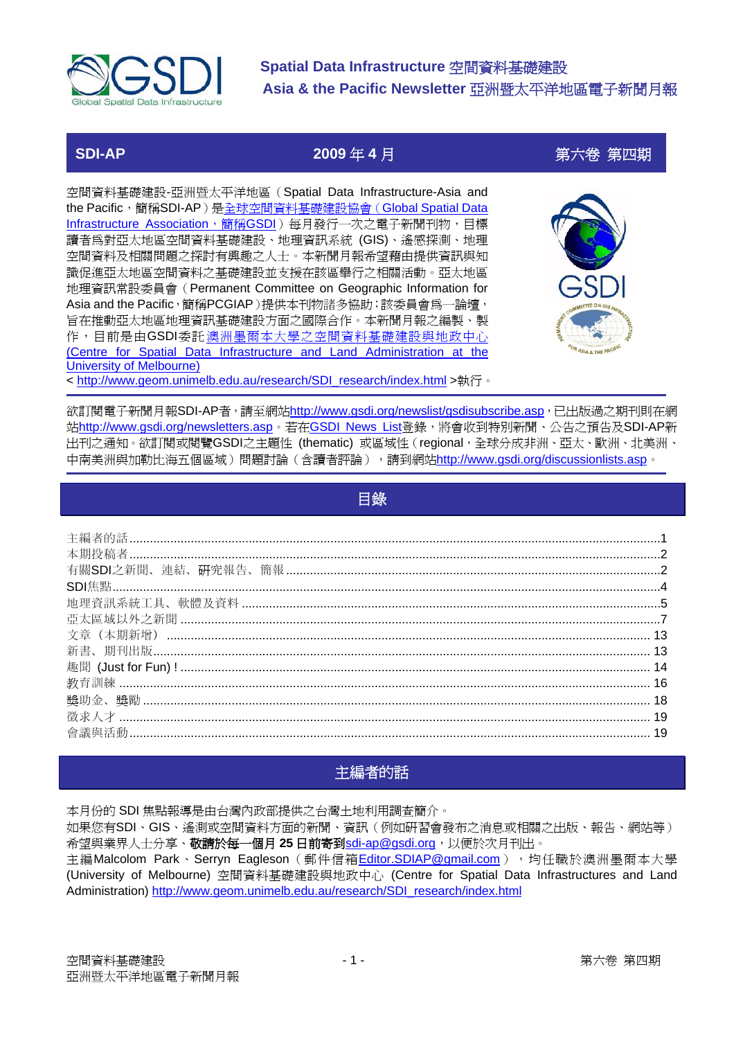<span id="page-0-0"></span>

**SDI-AP 2009** 年 **4** 月第六卷 第四期

空間資料基礎建設-亞洲暨太平洋地區(Spatial Data Infrastructure-Asia and the Pacific,簡稱SDI-AP)是[全球空間資料基礎建設協會\(](http://www.gsdi.org/)Global Spatial Data [Infrastructure Association](http://www.gsdi.org/),簡稱GSDI)每月發行一次之電子新聞刊物,目標 讀者為對亞太地區空間資料基礎建設、地理資訊系統 (GIS)、遙感探測、地理 空間資料及相關問題之探討有興趣之人士。本新聞月報希望藉由提供資訊與知 識促進亞太地區空間資料之基礎建設並支援在該區舉行之相關活動。亞太地區 地理資訊常設委員會(Permanent Committee on Geographic Information for Asia and the Pacific,簡稱PCGIAP)提供本刊物諸多協助;該委員會爲一論壇, 旨在推動亞太地區地理資訊基礎建設方面之國際合作。本新聞月報之編製、製 作,目前是由GSDI委託 [澳洲墨爾本大學之空間資料基礎建設與地政中心](http://www.geom.unimelb.edu.au/research/SDI_research/index.html) [\(Centre for Spatial Data Infrastructure and Land Administration at the](http://www.geom.unimelb.edu.au/research/SDI_research/index.html) [University of Melbourne\)](http://www.geom.unimelb.edu.au/research/SDI_research/index.html) < [http://www.geom.unimelb.edu.au/research/SDI\\_research/index.html](http://www.geom.unimelb.edu.au/research/SDI_research/index.html) >執行。



欲訂閱電子新聞月報SDI-AP者,請至網站<http://www.gsdi.org/newslist/gsdisubscribe.asp>,已出版過之期刊則在網 站<http://www.gsdi.org/newsletters.asp>。若在[GSDI News List](http://www.gsdi.org/newslist/gsdisubscribe.asp)登錄,將會收到特別新聞、公告之預告及SDI-AP新 出刊之通知。欲訂閱或閱覽GSDI之主題性 (thematic) 或區域性(regional,全球分成非洲、亞太、歐洲、北美洲、 中南美洲與加勒比海五個區域)問題討論(含讀者評論),請到網站<http://www.gsdi.org/discussionlists.asp>。

| 目錄 |  |
|----|--|
|    |  |
|    |  |
|    |  |
|    |  |
|    |  |
|    |  |
|    |  |
|    |  |
|    |  |
|    |  |
|    |  |
|    |  |
|    |  |
|    |  |

### 主編者的話

本月份的 SDI 焦點報導是由台灣內政部提供之台灣土地利用調查簡介。 如果您有SDI、GIS、遙測或空間資料方面的新聞、資訊(例如研習會發布之消息或相關之出版、報告、網站等) 希望與業界人士分享、敬請於每一個月 **25** 日前寄到[sdi-ap@gsdi.org](mailto:sdi-ap@gsdi.org),以便於次月刊出。 主編Malcolom Park、Serryn Eagleson (郵件信箱[Editor.SDIAP@gmail.com](mailto:Editor.SDIAP@gmail.com)),句任職於澳洲墨爾本大學 (University of Melbourne) 空間資料基礎建設與地政中心 (Centre for Spatial Data Infrastructures and Land Administration) [http://www.geom.unimelb.edu.au/research/SDI\\_research/index.html](http://www.geom.unimelb.edu.au/research/SDI_research/index.html)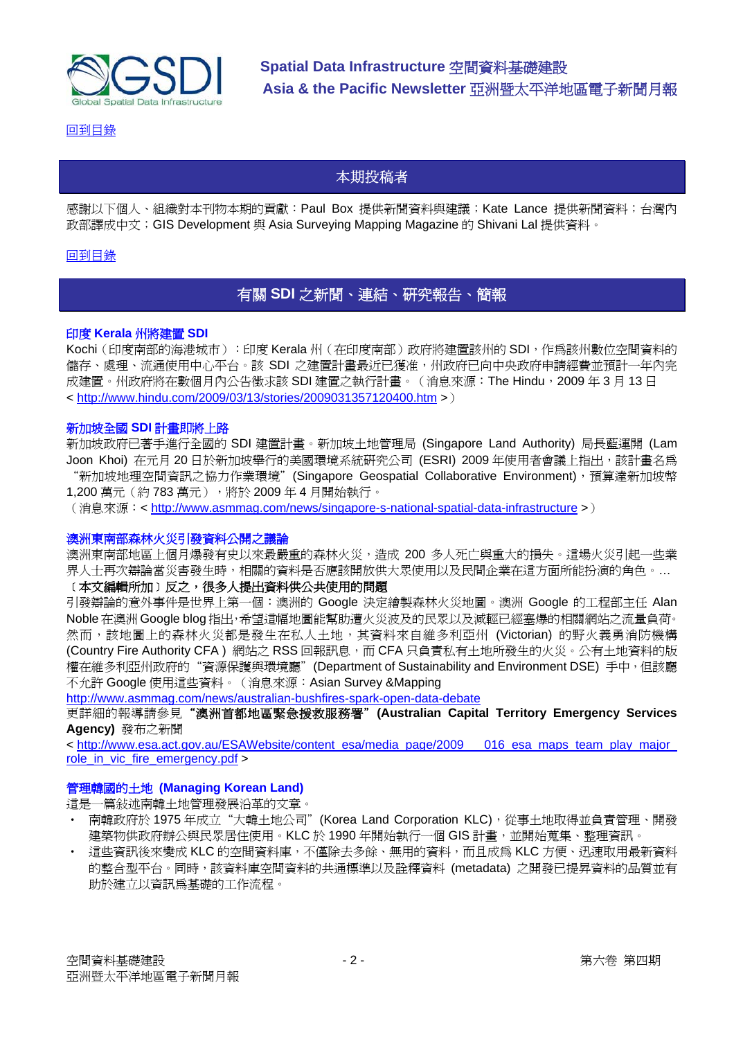<span id="page-1-0"></span>

[回到目錄](#page-0-0)

### 本期投稿者

感謝以下個人、組織對本刊物本期的貢獻:Paul Box 提供新聞資料與建議;Kate Lance 提供新聞資料;台灣內 政部譯成中文;GIS Development 與 Asia Surveying Mapping Magazine 的 Shivani Lal 提供資料。

#### [回到目錄](#page-0-0)

### 有關 **SDI** 之新聞、連結、研究報告、簡報

#### 印度 **Kerala** 州將建置 **SDI**

Kochi (印度南部的海港城市):印度 Kerala 州 (在印度南部)政府將建置該州的 SDI, 作為該州數位空間資料的 儲存、處理、流通使用中心平台。該 SDI 之建置計畫最近已獲准,州政府已向中央政府申請經費並預計一年內完 成建置。州政府將在數個月內公告徵求該 SDI 建置之執行計畫。 ( 消息來源:The Hindu,2009 年 3 月 13 日 < <http://www.hindu.com/2009/03/13/stories/2009031357120400.htm> >)

#### 新加坡全國 **SDI** 計畫即將上路

新加坡政府已著手進行全國的 SDI 建置計畫。新加坡土地管理局 (Singapore Land Authority) 局長藍運開 (Lam Joon Khoi) 在元月 20 日於新加坡舉行的美國環境系統研究公司 (ESRI) 2009 年使用者會議上指出,該計書名為 "新加坡地理空間資訊之協力作業環境" (Singapore Geospatial Collaborative Environment), 預算達新加坡幣 1,200 萬元(約 783 萬元),將於 2009 年 4 月開始執行。

(消息來源:< <http://www.asmmag.com/news/singapore-s-national-spatial-data-infrastructure> >)

#### 澳洲東南部森林火災引發資料公開之議論

澳洲東南部地區上個月爆發有史以來最嚴重的森林火災,造成 200 多人死亡與重大的損失。這場火災引起一些業 界人士再次辯論當災害發生時,相關的資料是否應該開放供大眾使用以及民間企業在這方面所能扮演的角色。…

#### ﹝本文編輯所加﹞反之,很多人提出資料供公共使用的問題

引發辯論的意外事件是世界上第一個:澳洲的 Google 決定繪製森林火災地圖。澳洲 Google 的工程部主任 Alan Noble 在澳洲 Google blog 指出,希望這幅地圖能幫助遭火災波及的民眾以及減輕已經塞爆的相關網站之流量負荷。 然而,該地圖上的森林火災都是發生在私人土地,其資料來自維多利亞州 (Victorian) 的野火義勇消防機構 (Country Fire Authority CFA) 網站之 RSS 回報訊息,而 CFA 只負責私有土地所發生的火災。公有土地資料的版 權在維多利亞州政府的"資源保護與環境廳"(Department of Sustainability and Environment DSE) 手中,但該廳 不允許 Google 使用這些資料。(消息來源:Asian Survey &Mapping

<http://www.asmmag.com/news/australian-bushfires-spark-open-data-debate>

更詳細的報導請參見"澳洲首都地區緊急援救服務署"**(Australian Capital Territory Emergency Services Agency)** 發布之新聞

< [http://www.esa.act.gov.au/ESAWebsite/content\\_esa/media\\_page/2009\\_\\_\\_016\\_esa\\_maps\\_team\\_play\\_major\\_](http://www.esa.act.gov.au/ESAWebsite/content_esa/media_page/2009___016_esa_maps_team_play_major_role_in_vic_fire_emergency.pdf) [role\\_in\\_vic\\_fire\\_emergency.pdf](http://www.esa.act.gov.au/ESAWebsite/content_esa/media_page/2009___016_esa_maps_team_play_major_role_in_vic_fire_emergency.pdf) >

#### 管理韓國的土地 **(Managing Korean Land)**

這是一篇敍述南韓土地管理發展沿革的文章。

- 南韓政府於 1975年成立"大韓土地公司" (Korea Land Corporation KLC),從事土地取得並負責管理、開發 建築物供政府辦公與民眾居住使用。KLC於 1990 年開始執行一個 GIS 計畫,並開始蒐集、整理資訊。
- 這些資訊後來變成 KLC 的空間資料庫,不僅除去多餘、無用的資料,而且成為 KLC 方便、迅速取用最新資料 的整合型平台。同時,該資料庫空間資料的共通標準以及詮釋資料 (metadata) 之開發已提昇資料的品質並有 助於建立以資訊為基礎的工作流程。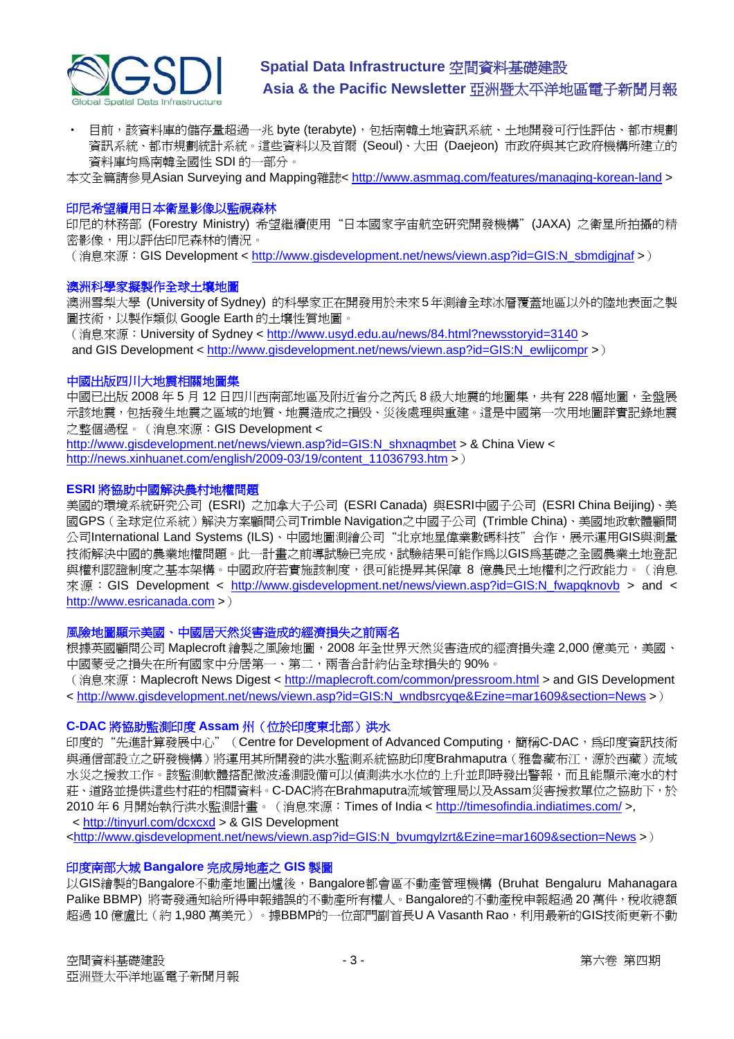

• 目前,該資料庫的儲存量超過一兆 byte (terabyte),包括南韓土地資訊系統、土地開發可行性評估、都市規劃 資訊系統、都市規劃統計系統。這些資料以及首爾 (Seoul)、大田 (Daejeon) 市政府與其它政府機構所建立的 資料庫均為南韓全國性 SDI 的一部分。

本文全篇請參見Asian Surveying and Mapping雜誌<<http://www.asmmag.com/features/managing-korean-land>>

#### 印尼希望續用日本衛星影像以監視森林

印尼的林務部 (Forestry Ministry) 希望繼續使用"日本國家宇宙航空研究開發機構"(JAXA) 之衛星所拍攝的精 密影像,用以評估印尼森林的情況。

(消息來源: GIS Development < http://www.gisdevelopment.net/news/viewn.asp?id=GIS:N\_sbmdiginaf >)

#### 澳洲科學家擬製作全球土壤地圖

澳洲雪梨大學 (University of Sydney) 的科學家正在開發用於未來5年測繪全球冰層覆蓋地區以外的陸地表面之製 圖技術,以製作類似 Google Earth 的土壤性質地圖。

(消息來源:University of Sydney <<http://www.usyd.edu.au/news/84.html?newsstoryid=3140> >

and GIS Development < [http://www.gisdevelopment.net/news/viewn.asp?id=GIS:N\\_ewlijcompr](http://www.gisdevelopment.net/news/viewn.asp?id=GIS:N_ewlijcompr) >)

#### 中國出版四川大地震相關地圖集

中國已出版 2008年5月12日四川西南部地區及附近省分之芮氏 8級大地震的地圖集,共有 228幅地圖,全盤展 示該地震,包括發生地震之區域的地質、地震造成之損毁、災後處理與重建。這是中國第一次用地圖詳實記錄地震 之整個過程。(消息來源:GIS Development <

[http://www.gisdevelopment.net/news/viewn.asp?id=GIS:N\\_shxnaqmbet](http://www.gisdevelopment.net/news/viewn.asp?id=GIS:N_shxnaqmbet) > & China View < [http://news.xinhuanet.com/english/2009-03/19/content\\_11036793.htm](http://news.xinhuanet.com/english/2009-03/19/content_11036793.htm) >)

#### **ESRI** 將協助中國解決農村地權問題

美國的環境系統研究公司 (ESRI) 之加拿大子公司 (ESRI Canada) 與ESRI中國子公司 (ESRI China Beijing)、美 國GPS(全球定位系統)解決方案顧問公司Trimble Navigation之中國子公司 (Trimble China)、美國地政軟體顧問 公司International Land Systems (ILS)、中國地圖測繪公司"北京地星偉業數碼科技"合作,展示運用GIS與測量 技術解決中國的農業地權問題。此一計畫之前導試驗已完成,試驗結果可能作為以GIS為基礎之全國農業土地登記 與權利認證制度之基本架構。中國政府若實施該制度,很可能提昇其保障 8 億農民土地權利之行政能力。(消息 來源: GIS Development < [http://www.gisdevelopment.net/news/viewn.asp?id=GIS:N\\_fwapqknovb](http://www.gisdevelopment.net/news/viewn.asp?id=GIS:N_fwapqknovb) > and < [http://www.esricanada.com](http://www.esricanada.com/) >)

#### 風險地圖顯示美國、中國居天然災害造成的經濟損失之前兩名

根據英國顧問公司 Maplecroft 繪製之風險地圖, 2008年全世界天然災害浩成的經濟損失達 2,000 億美元, 美國、 中國蒙受之損失在所有國家中分居第一、第二,兩者合計約佔全球損失的 90%。

(消息來源: Maplecroft News Digest < <http://maplecroft.com/common/pressroom.html> > and GIS Development < [http://www.gisdevelopment.net/news/viewn.asp?id=GIS:N\\_wndbsrcyqe&Ezine=mar1609&section=News](http://www.gisdevelopment.net/news/viewn.asp?id=GIS:N_wndbsrcyqe&Ezine=mar1609§ion=News) >)

#### **C-DAC** 將協助監測印度 **Assam** 州(位於印度東北部)洪水

印度的"先進計算發展中心" (Centre for Development of Advanced Computing,簡稱C-DAC,為印度資訊技術 與通信部設立之研發機構)將運用其所開發的洪水監測系統協助印度Brahmaputra(雅魯藏布江,源於西藏)流域 水災之援救工作。該監測軟體搭配微波遙測設備可以偵測洪水水位的上升並即時發出警報,而且能顯示淹水的村 莊、道路並提供這些村莊的相關資料。C-DAC將在Brahmaputra流域管理局以及Assam災害援救單位之協助下,於 2010 年 6 月開始執行洪水監測計畫。(消息來源:Times of India <<http://timesofindia.indiatimes.com/>>, < <http://tinyurl.com/dcxcxd>> & GIS Development

<[http://www.gisdevelopment.net/news/viewn.asp?id=GIS:N\\_bvumgylzrt&Ezine=mar1609&section=News](http://www.gisdevelopment.net/news/viewn.asp?id=GIS:N_bvumgylzrt&Ezine=mar1609§ion=News) >)

#### 印度南部大城 **Bangalore** 完成房地產之 **GIS** 製圖

以GIS繪製的Bangalore不動產地圖出爐後,Bangalore都會區不動產管理機構 (Bruhat Bengaluru Mahanagara Palike BBMP)將寄發通知給所得申報錯誤的不動產所有權人。Bangalore的不動產稅申報超過20 萬件,稅收總額 超過 10 億盧比(約 1,980 萬美元)。據BBMP的一位部門副首長U A Vasanth Rao,利用最新的GIS技術更新不動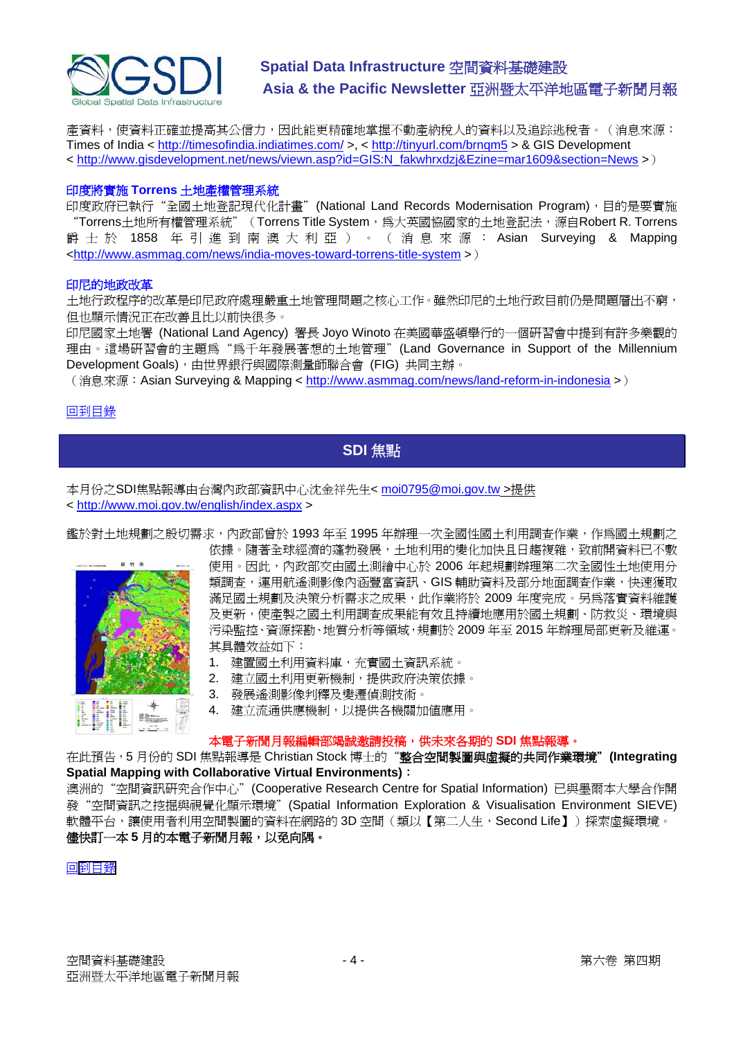<span id="page-3-0"></span>

產資料,使資料正確並提高其公信力,因此能更精確地掌握不動產納稅人的資料以及追踪逃稅者。(消息來源: Times of India <<http://timesofindia.indiatimes.com/>>, < <http://tinyurl.com/brnqm5>> & GIS Development < [http://www.gisdevelopment.net/news/viewn.asp?id=GIS:N\\_fakwhrxdzj&Ezine=mar1609&section=News](http://www.gisdevelopment.net/news/viewn.asp?id=GIS:N_fakwhrxdzj&Ezine=mar1609§ion=News) >)

#### 印度將實施 **Torrens** 土地產權管理系統

印度政府已執行"全國土地登記現代化計畫"(National Land Records Modernisation Program),目的是要實施 "Torrens土地所有權管理系統" (Torrens Title System,為大英國協國家的土地登記法,源自Robert R. Torrens 爵 士 於 1858 年 引 進 到南澳 大利亞 )。( 消息來 源 : Asian Surveying & Mapping <<http://www.asmmag.com/news/india-moves-toward-torrens-title-system>>)

#### 印尼的地政改革

土地行政程序的改革是印尼政府處理嚴重土地管理問題之核心工作。雖然印尼的土地行政目前仍是問題層出不窮, 但也顯示情況正在改善且比以前快很多。

印尼國家土地署 (National Land Agency) 署長 Joyo Winoto 在美國華盛頓舉行的一個研習會中提到有許多樂觀的 理由。這場研習會的主題為"為千年發展著想的土地管理"(Land Governance in Support of the Millennium Development Goals),由世界銀行與國際測量師聯合會 (FIG) 共同主辦。

(消息來源:Asian Surveying & Mapping <<http://www.asmmag.com/news/land-reform-in-indonesia>>)

#### [回到目錄](#page-0-0)

### **SDI** 焦點

本月份之SDI焦點報導由台灣內政部資訊中心沈金祥先生< [moi0795@moi.gov.tw](mailto:moi0795@moi.gov.tw) >提供 < <http://www.moi.gov.tw/english/index.aspx>>

鑑於對土地規劃之殷切需求,內政部曾於 1993 年至 1995 年辦理一次全國性國土利用調查作業,作為國土規劃之



依據。隨著全球經濟的蓬勃發展,十地利用的變化加快且日趨複雜,致前開資料已不敷 使用。因此,內政部交由國土測繪中心於 2006 年起規劃辦理第二次全國性土地使用分 類調查,運用航遙測影像內涵豐富資訊、GIS 輔助資料及部分地面調查作業,快速獲取 滿足國土規劃及決策分析需求之成果,此作業將於 2009 年度完成。另為落實資料維護 及更新,使產製之國土利用調查成果能有效且持續地應用於國土規劃、防救災、環境與 污染監控、資源探勘、地質分析等領域,規劃於 2009 年至 2015 年辦理局部更新及維運。 其具體效益如下:

- 1. 建置國土利用資料庫,充實國土資訊系統。
- 2. 建立國土利用更新機制,提供政府決策依據。
- 3. 發展遙測影像判釋及變遷偵測技術。
- 4. 建立流通供應機制,以提供各機關加值應用。

#### 本電子新聞月報編輯部竭誠邀請投稿,供未來各期的 **SDI** 焦點報導。

在此預告,5 月份的 SDI 焦點報導是 Christian Stock 博士的"**整合空間製圖與虛擬的共同作業環境"(Integrating Spatial Mapping with Collaborative Virtual Environments)**:

澳洲的"空間資訊研究合作中心"(Cooperative Research Centre for Spatial Information) 已與墨爾本大學合作開 發"空間資訊之挖掘與視覺化顯示環境"(Spatial Information Exploration & Visualisation Environment SIEVE) 軟體平台,讓使用者利用空間製圖的資料在網路的 3D 空間(類以【第二人生,Second Life】)探索虛擬環境。 儘快訂一本 **5** 月的本電子新聞月報,以免向隅。

#### [到目錄](#page-0-0) 回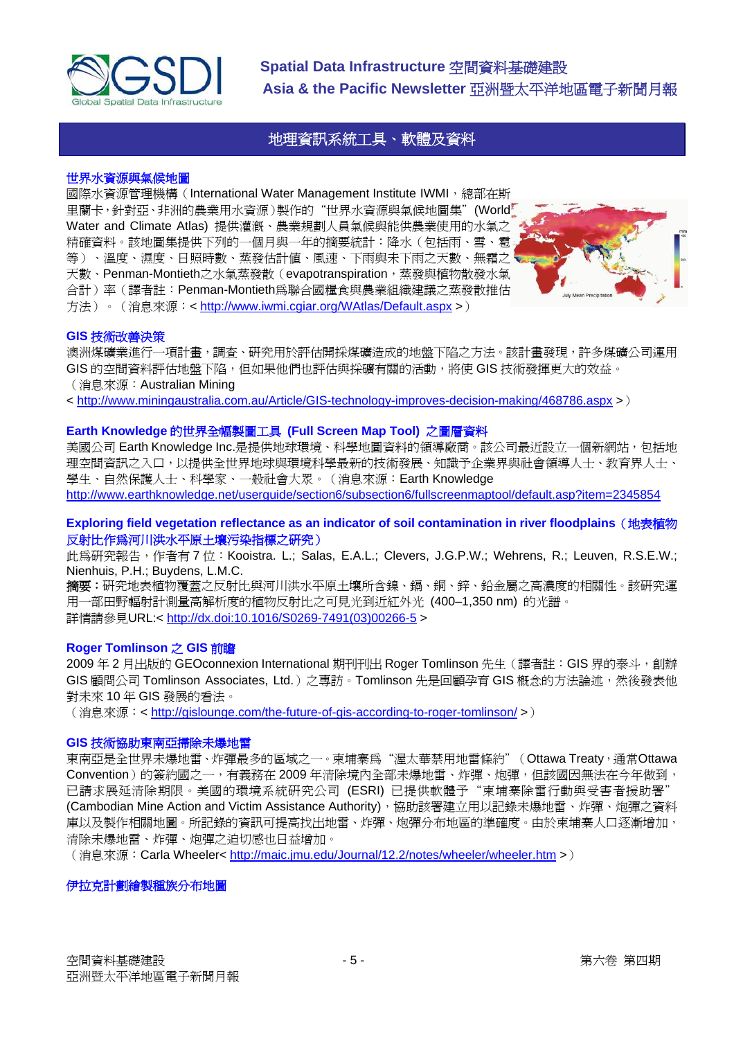<span id="page-4-0"></span>

### 地理資訊系統工具、軟體及資料

#### 世界水資源與氣候地圖

國際水資源管理機構(International Water Management Institute IWMI, 總部在斯 里蘭卡,針對亞、非洲的農業用水資源)製作的"世界水資源與氣候地圖集"(World Water and Climate Atlas) 提供灌溉、農業規劃人員氣候與能供農業使用的水氣之 精確資料。該地圖集提供下列的一個月與一年的摘要統計:降水(包括雨、雪、雹 等)、溫度、濕度、日照時數、蒸發估計值、風速、下雨與未下雨之天數、無霜之、 天數、Penman-Montieth之水氣蒸發散(evapotranspiration,蒸發與植物散發水氣 合計)率(譯者註:Penman-Montieth為聯合國糧食與農業組織建議之蒸發散推估 方法)。(消息來源:<<http://www.iwmi.cgiar.org/WAtlas/Default.aspx> >)



#### **GIS** 技術改善決策

澳洲煤礦業進行一項計畫,調查、研究用於評估開採煤礦造成的地盤下陷之方法。該計畫發現,許多煤礦公司運用 GIS 的空間資料評估地盤下陷,但如果他們也評估與採礦有關的活動,將使 GIS 技術發揮更大的效益。 (消息來源:Australian Mining

< <http://www.miningaustralia.com.au/Article/GIS-technology-improves-decision-making/468786.aspx>>)

#### **Earth Knowledge** 的世界全幅製圖工具 **(Full Screen Map Tool)** 之圖層資料

美國公司 Earth Knowledge Inc.是提供地球環境、科學地圖資料的領導廠商。該公司最近設立一個新網站,包括地 理空間資訊之入口,以提供全世界地球與環境科學最新的技術發展、知識予企業界與社會領導人士、教育界人士、 學生、自然保護人士、科學家、一般社會大眾。(消息來源:Earth Knowledge <http://www.earthknowledge.net/userguide/section6/subsection6/fullscreenmaptool/default.asp?item=2345854>

#### **Exploring field vegetation reflectance as an indicator of soil contamination in river floodplains**(地表植物 反射比作為河川洪水平原土壤污染指標之研究)

此為研究報告,作者有7位:Kooistra. L.; Salas, E.A.L.; Clevers, J.G.P.W.; Wehrens, R.; Leuven, R.S.E.W.; Nienhuis, P.H.; Buydens, L.M.C.

**摘要:**研究地表植物覆蓋之反射比與河川洪水平原土壤所含鎳、鎘、銅、鋅、鉛金屬之高濃度的相關性。該研究運 用一部田野輻射計測量高解析度的植物反射比之可見光到近紅外光 (400–1,350 nm) 的光譜。 詳情請參見URL:< [http://dx.doi:10.1016/S0269-7491\(03\)00266-5](http://dx.doi.org/10.1016/S0269-7491%2803%2900266-5) >

#### **Roger Tomlinson** 之 **GIS** 前瞻

2009 年 2 月出版的 GEOconnexion International 期刊刊出 Roger Tomlinson 先生(譯者註:GIS 界的泰斗,創辦 GIS 顧問公司 Tomlinson Associates, Ltd.) 之專訪。Tomlinson 先是回顧孕育 GIS 概念的方法論述,然後發表他 對未來 10 年 GIS 發展的看法。

(消息來源: < <http://gislounge.com/the-future-of-gis-according-to-roger-tomlinson/> >)

#### **GIS** 技術協助東南亞掃除未爆地雷

東南亞是全世界未爆地雷、炸彈最多的區域之一。柬埔寨為"渥太華禁用地雷條約"(Ottawa Treaty,通常Ottawa Convention)的簽約國之一,有義務在 2009 年清除境內全部未爆地雷、炸彈、炮彈,但該國因無法在今年做到, 已請求展延清除期限。美國的環境系統研究公司 (ESRI) 已提供軟體予"柬埔寨除雷行動與受害者援助署" (Cambodian Mine Action and Victim Assistance Authority),協助該署建立用以記錄未爆地雷、炸彈、炮彈之資料 庫以及製作相關地圖。所記錄的資訊可提高找出地雷、炸彈、炮彈分布地區的準確度。由於柬埔寨人口逐漸增加, 清除未爆地雷、炸彈、炮彈之迫切感也日益增加。

(消息來源:Carla Wheeler<<http://maic.jmu.edu/Journal/12.2/notes/wheeler/wheeler.htm> >)

伊拉克計劃繪製種族分布地圖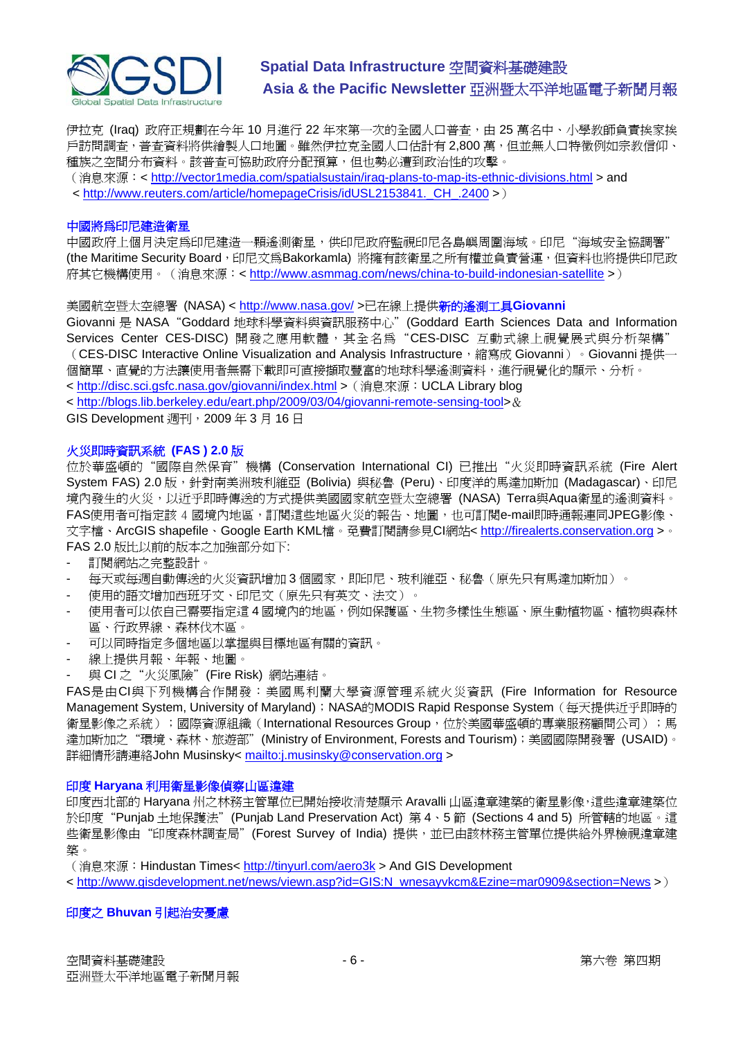

伊拉克 (Iraq) 政府正規劃在今年 10 月進行 22 年來第一次的全國人口普查,由 25 萬名中、小學教師負責挨家挨 戶訪問調査,普查資料將供繪製人口地圖。雖然伊拉克全國人口估計有 2,800 萬,但並無人口特徵例如宗教信仰、 種族之空間分布資料。該普查可協助政府分配預算,但也勢必遭到政治性的攻擊。

(消息來源:< <http://vector1media.com/spatialsustain/iraq-plans-to-map-its-ethnic-divisions.html> > and < [http://www.reuters.com/article/homepageCrisis/idUSL2153841.\\_CH\\_.2400](http://www.reuters.com/article/homepageCrisis/idUSL2153841._CH_.2400) >)

#### 中國將為印尼建造衛星

中國政府上個月決定為印尼建造一顆遙測衛星,供印尼政府監視印尼各島嶼周圍海域。印尼"海域安全協調署" (the Maritime Security Board,印尼文為Bakorkamla) 將擁有該衛星之所有權並負責營運,但資料也將提供印尼政 府其它機構使用。(消息來源:<<http://www.asmmag.com/news/china-to-build-indonesian-satellite>>)

美國航空暨太空總署 (NASA) <<http://www.nasa.gov/>>已在線上提供新的遙測工具Giovanni

Giovanni 是 NASA"Goddard 地球科學資料與資訊服務中心"(Goddard Earth Sciences Data and Information Services Center CES-DISC) 開發之應用軟體,其全名為"CES-DISC 互動式線上視覺展式與分析架構" (CES-DISC Interactive Online Visualization and Analysis Infrastructure, 縮寫成 Giovanni) 。Giovanni 提供一 個簡單、直覺的方法讓使用者無需下載即可直接擷取豐富的地球科學遙測資料,進行視覺化的顯示、分析。

< <http://disc.sci.gsfc.nasa.gov/giovanni/index.html> >(消息來源:UCLA Library blog

< <http://blogs.lib.berkeley.edu/eart.php/2009/03/04/giovanni-remote-sensing-tool>>&

GIS Development 週刊,2009 年 3 月 16 日

#### 火災即時資訊系統 **(FAS ) 2.0** 版

位於華盛頓的"國際自然保育"機構 (Conservation International CI) 已推出"火災即時資訊系統 (Fire Alert System FAS) 2.0 版, 針對南美洲玻利維亞 (Bolivia) 與秘魯 (Peru)、印度洋的馬達加斯加 (Madagascar)、印尼 境內發生的火災,以近乎即時傳送的方式提供美國國家航空暨太空總署 (NASA) Terra與Aqua衛星的遙測資料。 FAS使用者可指定該 4 國境內地區,訂閱這些地區火災的報告、地圖,也可訂閱e-mail即時通報連同JPEG影像、 文字檔、ArcGIS shapefile、Google Earth KML檔。免費訂閱請參見CI網站< [http://firealerts.conservation.org](http://firealerts.conservation.org/) >。 FAS 2.0 版比以前的版本之加強部分如下:

- 訂閱網站之完整設計。
- 每天或每週自動傳送的火災資訊增加 3 個國家,即印尼、玻利維亞、秘魯(原先只有馬達加斯加)。
- 使用的語文增加西班牙文、印尼文(原先只有英文、法文)。
- 使用者可以依自己需要指定這 4 國境內的地區,例如保護區、生物多樣性生態區、原生動植物區、植物與森林 區、行政界線、森林伐木區。
- 可以同時指定多個地區以掌握與目標地區有關的資訊。
- 線上提供月報、年報、地圖。
- 與 CI 之"火災風險"(Fire Risk) 網站連結。

FAS是由CI與下列機構合作開發:美國馬利蘭大學資源管理系統火災資訊 (Fire Information for Resource Management System, University of Maryland); NASA的MODIS Rapid Response System (每天提供近乎即時的 衛星影像之系統);國際資源組織(International Resources Group,位於美國華盛頓的專業服務顧問公司);馬 達加斯加之"環境、森林、旅遊部"(Ministry of Environment, Forests and Tourism);美國國際開發署(USAID)。 詳細情形請連絡John Musinsky< <mailto:j.musinsky@conservation.org>>

#### 印度 **Haryana** 利用衛星影像偵察山區違建

印度西北部的 Haryana 州之林務主管單位已開始接收清楚顯示 Aravalli 山區違章建築的衛星影像,這些違章建築位 於印度"Punjab 土地保護法"(Punjab Land Preservation Act) 第 4、5 節 (Sections 4 and 5) 所管轄的地區。這 些衛星影像由"印度森林調查局"(Forest Survey of India) 提供, 並已由該林務主管單位提供給外界檢視違章建 築。

(消息來源:Hindustan Times< <http://tinyurl.com/aero3k> > And GIS Development

< [http://www.gisdevelopment.net/news/viewn.asp?id=GIS:N\\_wnesayvkcm&Ezine=mar0909&section=News](http://www.gisdevelopment.net/news/viewn.asp?id=GIS:N_wnesayvkcm&Ezine=mar0909§ion=News) >)

#### 印度之 **Bhuvan** 引起治安憂慮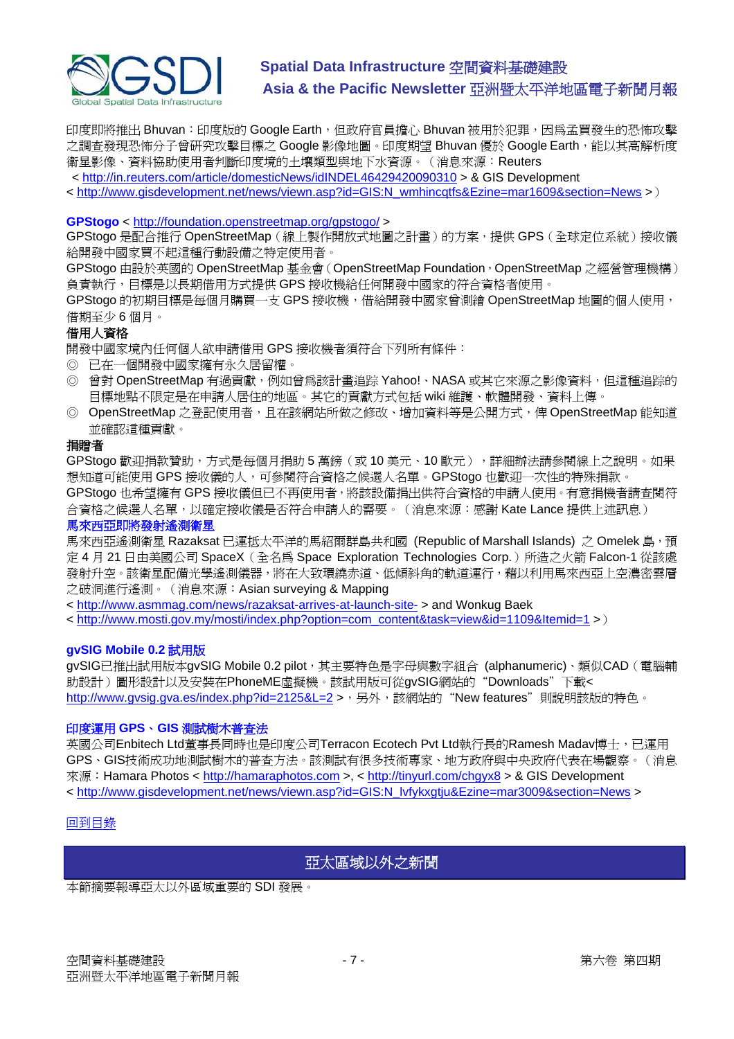<span id="page-6-0"></span>

印度即將推出 Bhuvan: 印度版的 Google Earth,但政府官員擔心 Bhuvan 被用於犯罪,因為孟買發生的恐怖攻擊 之調査發現恐怖分子曾研究攻擊目標之 Google 影像地圖。印度期望 Bhuvan 優於 Google Earth,能以其高解析度 衛星影像、資料協助使用者判斷印度境的土壤類型與地下水資源。(消息來源:Reuters

< <http://in.reuters.com/article/domesticNews/idINDEL46429420090310> > & GIS Development

< [http://www.gisdevelopment.net/news/viewn.asp?id=GIS:N\\_wmhincqtfs&Ezine=mar1609&section=News](http://www.gisdevelopment.net/news/viewn.asp?id=GIS:N_wmhincqtfs&Ezine=mar1609§ion=News) >)

#### **GPStogo** <<http://foundation.openstreetmap.org/gpstogo/>>

GPStogo 是配合推行 OpenStreetMap (線上製作開放式地圖之計畫)的方案,提供 GPS (全球定位系統)接收儀 給開發中國家買不起這種行動設備之特定使用者。

GPStogo 由設於英國的 OpenStreetMap 基金會 (OpenStreetMap Foundation, OpenStreetMap 之經營管理機構) 負責執行,目標是以長期借用方式提供 GPS 接收機給任何開發中國家的符合資格者使用。

GPStogo 的初期目標是每個月購買一支 GPS 接收機,借給開發中國家曾測繪 OpenStreetMap 地圖的個人使用, 借期至少 6 個月。

#### 借用人資格

開發中國家境內任何個人欲申請借用 GPS 接收機者須符合下列所有條件:

- ◎ 已在一個開發中國家擁有永久居留權。
- © 曾對 OpenStreetMap 有過貢獻,例如曾為該計畫追踪 Yahoo!、NASA 或其它來源之影像資料,但這種追踪的 目標地點不限定是在申請人居住的地區。其它的貢獻方式包括 wiki 維護、軟體開發、資料上傳。
- ◎ OpenStreetMap 之登記使用者,且在該網站所做之修改、增加資料等是公開方式,俾 OpenStreetMap 能知道 並確認這種貢獻。

#### 捐贈者

GPStogo 歡迎捐款贊助,方式是每個月捐助 5 萬鎊 ( 或 10 美元、10 歐元 ) ,詳細辦法請參閱線上之說明。如果 想知道可能使用 GPS 接收儀的人,可參閱符合資格之候選人名單。GPStogo 也歡迎一次性的特殊捐款。

GPStogo 也希望擁有 GPS 接收儀但已不再使用者,將該設備捐出供符合資格的申請人使用。有意捐機者請查閱符 合資格之候選人名單,以確定接收儀是否符合申請人的需要。 (消息來源:感謝 Kate Lance 提供上述訊息)

#### 馬來西亞即將發射遙測衛星

馬來西亞遙測衛星 Razaksat 已運抵太平洋的馬紹爾群島共和國 (Republic of Marshall Islands) 之 Omelek 島, 預 定 4 月 21 日由美國公司 SpaceX (全名為 Space Exploration Technologies Corp.) 所造之火箭 Falcon-1 從該處 發射升空。該衛星配備光學遙測儀器,將在大致環繞赤道、低傾斜角的軌道運行,藉以利用馬來西亞上空濃密雲層 之破洞進行遙測。(消息來源:Asian surveying & Mapping

< <http://www.asmmag.com/news/razaksat-arrives-at-launch-site->> and Wonkug Baek

< [http://www.mosti.gov.my/mosti/index.php?option=com\\_content&task=view&id=1109&Itemid=1](http://www.mosti.gov.my/mosti/index.php?option=com_content&task=view&id=1109&Itemid=1) >)

#### **gvSIG Mobile 0.2** 試用版

gvSIG已推出試用版本gvSIG Mobile 0.2 pilot,其主要特色是字母與數字組合 (alphanumeric)、類似CAD (電腦輔 助設計)圖形設計以及安裝在PhoneME虛擬機。該試用版可從gvSIG網站的"Downloads"下載< [http://www.gvsig.gva.es/index.php?id=2125&L=2](https://owa.unimelb.edu.au/exchweb/bin/redir.asp?URL=http://www.gvsig.gva.es/index.php?id=2125%26L=2) >,另外,該網站的"New features"則說明該版的特色。

#### 印度運用 **GPS**、**GIS** 測試樹木普查法

英國公司Enbitech Ltd董事長同時也是印度公司Terracon Ecotech Pvt Ltd執行長的Ramesh Madav博士,已運用 GPS、GIS技術成功地測試樹木的普查方法。該測試有很多技術專家、地方政府與中央政府代表在場觀察。(消息 來源: Hamara Photos < [http://hamaraphotos.com](http://hamaraphotos.com/) >, <<http://tinyurl.com/chgyx8> > & GIS Development < [http://www.gisdevelopment.net/news/viewn.asp?id=GIS:N\\_lvfykxgtju&Ezine=mar3009&section=News](http://www.gisdevelopment.net/news/viewn.asp?id=GIS:N_lvfykxgtju&Ezine=mar3009§ion=News) >

#### [回到目錄](#page-0-0)

### 亞太區域以外之新聞

本節摘要報導亞太以外區域重要的 SDI 發展。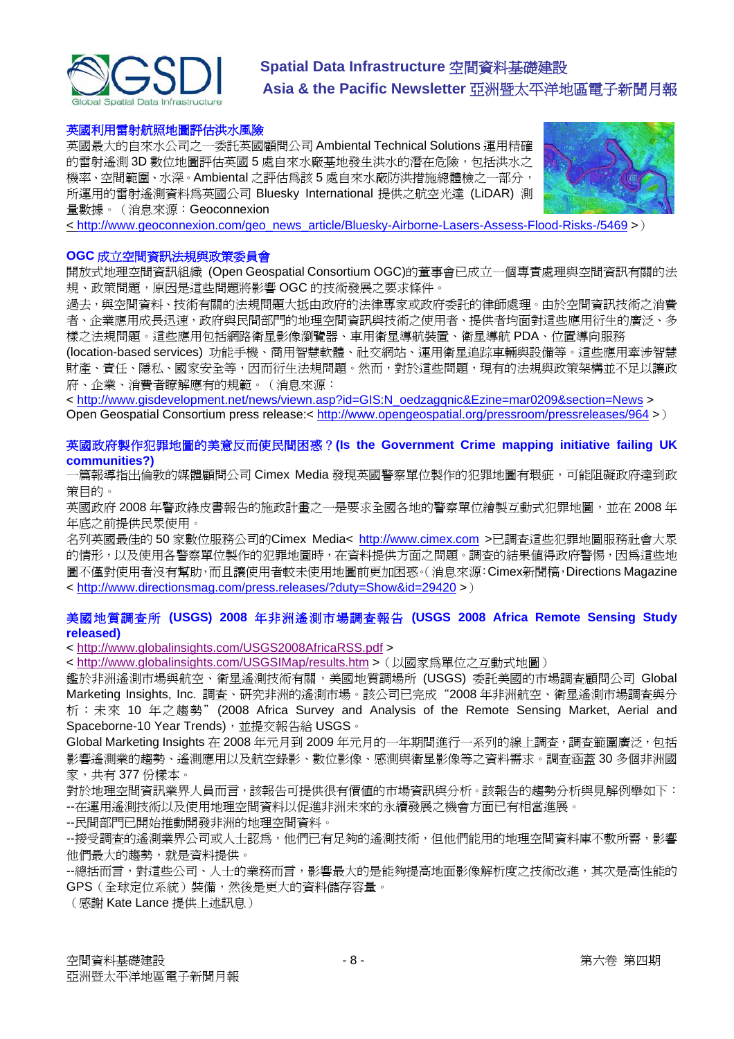

#### 英國利用雷射航照地圖評估洪水風險

英國最大的自來水公司之一委託英國顧問公司 Ambiental Technical Solutions 運用精確 的雷射遙測 3D 數位地圖評估英國 5 處自來水廠基地發生洪水的潛在危險,包括洪水之 機率、空間範圍、水深。Ambiental 之評估為該 5 處自來水廠防洪措施總體檢之一部分, 所運用的雷射遙測資料為英國公司 Bluesky International 提供之航空光達 (LiDAR) 測 量數據。(消息來源:Geoconnexion



< [http://www.geoconnexion.com/geo\\_news\\_article/Bluesky-Airborne-Lasers-Assess-Flood-Risks-/5469](http://www.geoconnexion.com/geo_news_article/Bluesky-Airborne-Lasers-Assess-Flood-Risks-/5469) >)

#### **OGC** 成立空間資訊法規與政策委員會

開放式地理空間資訊組織 (Open Geospatial Consortium OGC)的董事會已成立一個專責處理與空間資訊有關的法 規、政策問題,原因是這些問題將影響 OGC 的技術發展之要求條件。

過去,與空間資料、技術有關的法規問題大抵由政府的法律專家或政府委託的律師處理。由於空間資訊技術之消費 者、企業應用成長迅速,政府與民間部門的地理空間資訊與技術之使用者、提供者均面對這些應用衍生的廣泛、多 樣之法規問題。這些應用包括網路衛星影像瀏覽器、車用衛星導航裝置、衛星導航 PDA、位置導向服務

(location-based services) 功能手機、商用智慧軟體、社交網站、運用衛星追踪車輛與設備等。這些應用牽涉智慧 財產、責任、隱私、國家安全等,因而衍生法規問題。然而,對於這些問題,現有的法規與政策架構並不足以讓政 府、企業、消費者瞭解應有的規範。(消息來源:

< [http://www.gisdevelopment.net/news/viewn.asp?id=GIS:N\\_oedzagqnic&Ezine=mar0209&section=News](http://www.gisdevelopment.net/news/viewn.asp?id=GIS:N_oedzagqnic&Ezine=mar0209§ion=News) > Open Geospatial Consortium press release:<<http://www.opengeospatial.org/pressroom/pressreleases/964> >)

#### 英國政府製作犯罪地圖的美意反而使民間困惑?**(Is the Government Crime mapping initiative failing UK communities?)**

·篇報導指出倫敦的媒體顧問公司 Cimex Media 發現英國警察單位製作的犯罪地圖有瑕疵,可能阻礙政府達到政 策目的。

英國政府 2008年警政綠皮書報告的施政計畫之一是要求全國各地的警察單位繪製互動式犯罪地圖,並在 2008年 年底之前提供民眾使用。

名列英國最佳的 50 家數位服務公司的Cimex Media< [http://www.cimex.com](http://www.cimex.com/) >已調查這些犯罪地圖服務社會大眾 的情形,以及使用各警察單位製作的犯罪地圖時,在資料提供方面之問題。調查的結果值得政府警惕,因為這些地 圖不僅對使用者沒有幫助,而且讓使用者較未使用地圖前更加困惑。(消息來源:Cimex新聞稿,Directions Magazine < <http://www.directionsmag.com/press.releases/?duty=Show&id=29420>>)

#### 美國地質調查所 **(USGS) 2008** 年非洲遙測市場調查報告 **(USGS 2008 Africa Remote Sensing Study released)**

< <http://www.globalinsights.com/USGS2008AfricaRSS.pdf> >

< <http://www.globalinsights.com/USGSIMap/results.htm> >(以國家為單位之互動式地圖)

鑑於非洲遙測市場與航空、衛星遙測技術有關,美國地質調場所 (USGS) 委託美國的市場調查顧問公司 Global Marketing Insights, Inc. 調查、研究非洲的遙測市場。該公司已完成"2008 年非洲航空、衛星遙測市場調查與分 析:未來 10 年之趨勢"(2008 Africa Survey and Analysis of the Remote Sensing Market, Aerial and Spaceborne-10 Year Trends), 並提交報告給 USGS。

Global Marketing Insights 在 2008年元月到 2009年元月的一年期間進行一系列的線上調査,調査範圍廣泛,包括 影響遙測業的趨勢、遙測應用以及航空錄影、數位影像、感測與衛星影像等之資料需求。調查涵蓋 30 多個非洲國 家,共有 377 份樣本。

對於地理空間資訊業界人員而言,該報告可提供很有價值的市場資訊與分析。該報告的趨勢分析與見解例舉如下: --在運用遙測技術以及使用地理空間資料以促進非洲未來的永續發展之機會方面已有相當進展。

--民間部門已開始推動開發非洲的地理空間資料。

--接受調查的遙測業界公司或人士認為,他們已有足夠的遙測技術,但他們能用的地理空間資料庫不敷所需,影響 他們最大的趨勢,就是資料提供。

--總括而言,對這些公司、人士的業務而言,影響最大的是能夠提高地面影像解析度之技術改進,其次是高性能的 GPS(全球定位系統)裝備,然後是更大的資料儲存容量。

(感謝 Kate Lance 提供上述訊息)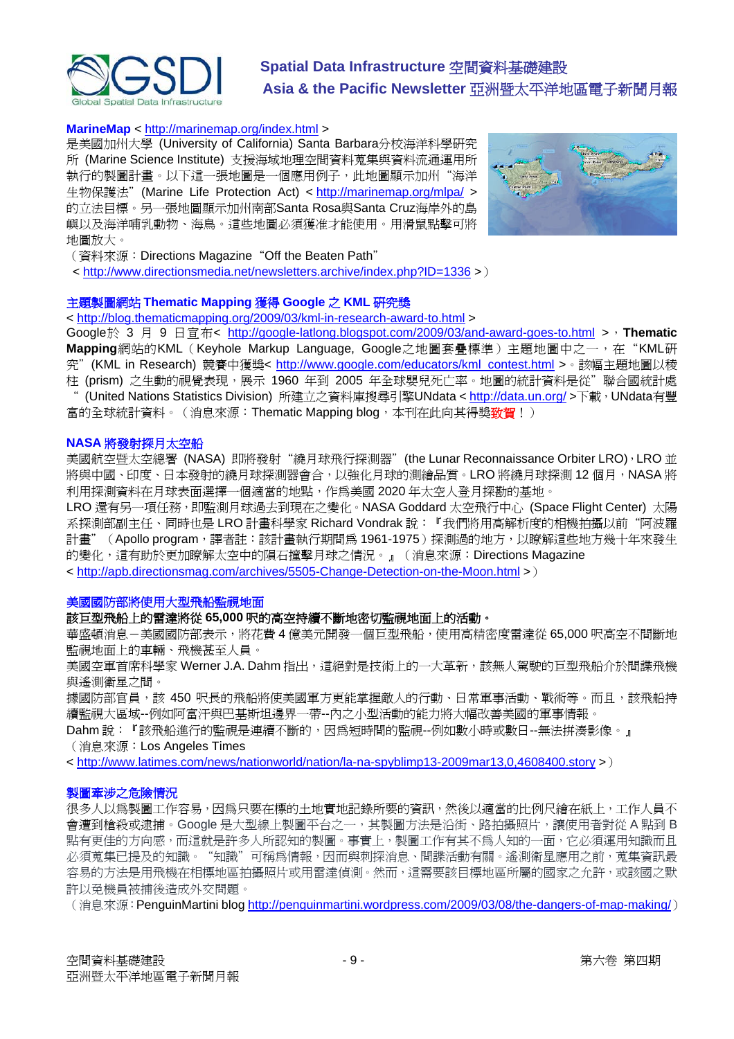

#### **MarineMap** <<http://marinemap.org/index.html> >

是美國加州大學 (University of California) Santa Barbara分校海洋科學研究 所 (Marine Science Institute) 支援海域地理空間資料蒐集與資料流通運用所 執行的製圖計畫。以下這一張地圖是一個應用例子,此地圖顯示加州"海洋 生物保護法"(Marine Life Protection Act) <<http://marinemap.org/mlpa/>> 的立法目標。另一張地圖顯示加州南部Santa Rosa與Santa Cruz海岸外的島 嶼以及海洋哺乳動物、海鳥。這些地圖必須獲准才能使用。用滑鼠點擊可將 地圖放大。



- (資料來源:Directions Magazine"Off the Beaten Path"
- < <http://www.directionsmedia.net/newsletters.archive/index.php?ID=1336>>)

#### 主題製圖網站 **Thematic Mapping** 獲得 **Google** 之 **KML** 研究獎

< <http://blog.thematicmapping.org/2009/03/kml-in-research-award-to.html> >

Google於 3 月 9 日宣布< <http://google-latlong.blogspot.com/2009/03/and-award-goes-to.html> >,**Thematic** Mapping網站的KML (Keyhole Markup Language, Google之地圖套疊標準)主題地圖中之一, 在"KML研 究" (KML in Research) 競賽中獲獎< [http://www.google.com/educators/kml\\_contest.html](http://www.google.com/educators/kml_contest.html) > · 該幅主題地圖以稜 柱 (prism) 之生動的視覺表現,展示 1960 年到 2005 年全球嬰兒死亡率。地圖的統計資料是從"聯合國統計處 (United Nations Statistics Division) 所建立之資料庫搜尋引擎UNdata <<http://data.un.org/>>下載, UNdata有豐 富的全球統計資料。(消息來源:Thematic Mapping blog,本刊在此向其得獎<mark>致賀</mark>!)

#### **NASA** 將發射探月太空船

美國航空暨太空總署 (NASA) 即將發射"繞月球飛行探測器" (the Lunar Reconnaissance Orbiter LRO), LRO 並 將與中國、印度、日本發射的繞月球探測器會合,以強化月球的測繪品質。LRO 將繞月球探測 12 個月,NASA 將 利用探測資料在月球表面選擇一個適當的地點,作為美國 2020 年太空人登月探勘的基地。

LRO 還有另一項任務,即監測月球過去到現在之變化。NASA Goddard 太空飛行中心 (Space Flight Center) 太陽 系探測部副主任、同時也是LRO 計畫科學家 Richard Vondrak 說:『我們將用高解析度的相機拍攝以前"阿波羅 計畫"(Apollo program,譯者註:該計畫執行期間爲 1961-1975)探測過的地方,以瞭解這些地方幾十年來發生 的變化,這有助於更加瞭解太空中的隕石撞擊月球之情況。』(消息來源:Directions Magazine

< <http://apb.directionsmag.com/archives/5505-Change-Detection-on-the-Moon.html>>)

#### 美國國防部將使用大型飛船監視地面

#### 該巨型飛船上的雷達將從 **65,000** 呎的高空持續不斷地密切監視地面上的活動。

華盛頓消息–美國國防部表示,將花費4億美元開發一個巨型飛船,使用高精密度雷達從 65,000 呎高空不間斷地 監視地面上的車輛、飛機甚至人員。

美國空軍首席科學家 Werner J.A. Dahm 指出,這絕對是技術上的一大革新,該無人駕駛的巨型飛船介於間諜飛機 與遙測衛星之間。

據國防部官員,該 450 呎長的飛船將使美國軍方更能掌握敵人的行動、日常軍事活動、戰術等。而且,該飛船持 續監視大區域--例如阿富汗與巴基斯坦邊界一帶--內之小型活動的能力將大幅改善美國的軍事情報。

Dahm 說:『該飛船進行的監視是連續不斷的,因為短時間的監視--例如數小時或數日--無法拼湊影像。』 (消息來源:Los Angeles Times

< <http://www.latimes.com/news/nationworld/nation/la-na-spyblimp13-2009mar13,0,4608400.story>>)

#### 製圖牽涉之危險情況

很多人以為製圖工作容易,因為只要在標的土地實地記錄所要的資訊,然後以適當的比例尺繪在紙上,工作人員不 會遭到槍殺或逮捕。Google 是大型線上製圖平台之一,其製圖方法是沿街、路拍攝照片,讓使用者對從 A 點到 B 點有更佳的方向感,而這就是許多人所認知的製圖。事實上,製圖工作有其不為人知的一面,它必須運用知識而且 必須蒐集已提及的知識。"知識"可稱為情報,因而與刺探消息、間諜活動有關。遙測衛星應用之前,蒐集資訊最 容易的方法是用飛機在相標地區拍攝照片或用雷達偵測。然而,這需要該目標地區所屬的國家之允許,或該國之默 許以免機員被捕後造成外交問題。

(消息來源: PenguinMartini blog<http://penguinmartini.wordpress.com/2009/03/08/the-dangers-of-map-making/>)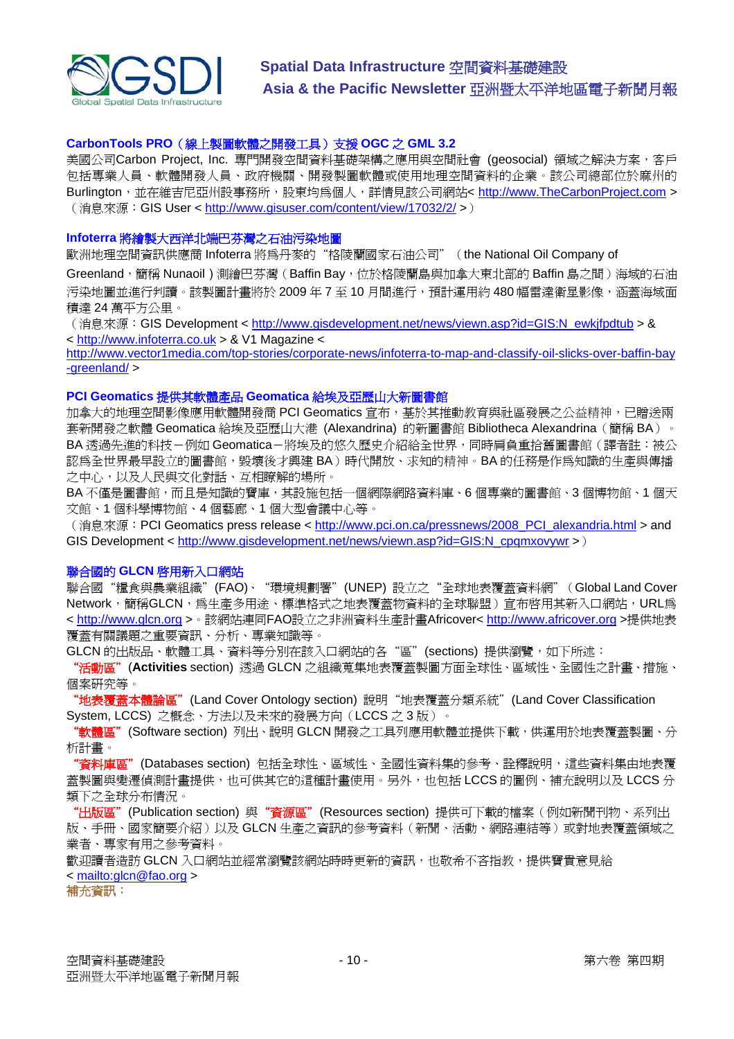

#### **CarbonTools PRO**(線上製圖軟體之開發工具)支援 **OGC** 之 **GML 3.2**

美國公司Carbon Project, Inc. 專門開發空間資料基礎架構之應用與空間社會 (geosocial) 領域之解決方案,客戶 包括專業人員、軟體開發人員、政府機關、開發製圖軟體或使用地理空間資料的企業。該公司總部位於麻州的 Burlington, 並在維吉尼亞州設事務所,股東均為個人,詳情見該公司網站< [http://www.TheCarbonProject.com](http://www.thecarbonproject.com/) > (消息來源:GIS User <<http://www.gisuser.com/content/view/17032/2/>>)

#### **Infoterra** 將繪製大西洋北端巴芬灣之石油污染地圖

歐洲地理空間資訊供應商 Infoterra 將為丹麥的"格陵蘭國家石油公司"(the National Oil Company of

Greenland,簡稱 Nunaoil)測繪巴芬灣(Baffin Bay,位於格陵蘭島與加拿大東北部的 Baffin 島之間)海域的石油 污染地圖並進行判讀。該製圖計書將於 2009 年 7 至 10 月間進行,預計運用約 480 幅雷達衛星影像,涵蓋海域面 積達 24 萬平方公里。

(消息來源:GIS Development < [http://www.gisdevelopment.net/news/viewn.asp?id=GIS:N\\_ewkjfpdtub](http://www.gisdevelopment.net/news/viewn.asp?id=GIS:N_ewkjfpdtub) > & < [http://www.infoterra.co.uk](http://www.infoterra.co.uk/applications_ogm_globalseeps.php) > & V1 Magazine <

[http://www.vector1media.com/top-stories/corporate-news/infoterra-to-map-and-classify-oil-slicks-over-baffin-bay](http://www.vector1media.com/top-stories/corporate-news/infoterra-to-map-and-classify-oil-slicks-over-baffin-bay-greenland/) [-greenland/](http://www.vector1media.com/top-stories/corporate-news/infoterra-to-map-and-classify-oil-slicks-over-baffin-bay-greenland/) >

#### **PCI Geomatics** 提供其軟體產品 **Geomatica** 給埃及亞歷山大新圖書館

加拿大的地理空間影像應用軟體開發商 PCI Geomatics 宣布,基於其推動教育與社區發展之公益精神,已贈送兩 套新開發之軟體 Geomatica 給埃及亞歷山大港 (Alexandrina) 的新圖書館 Bibliotheca Alexandrina (簡稱 BA)。 BA 透過先進的科技-例如 Geomatica-將埃及的悠久歷史介紹給全世界,同時肩負重拾舊圖書館(譯者註:被公 認為全世界最早設立的圖書館,毀壞後才興建 BA)時代開放、求知的精神。BA 的任務是作為知識的生產與傳播 之中心,以及人民與文化對話、互相瞭解的場所。

BA 不僅是圖書館,而且是知識的寶庫,其設施包括一個網際網路資料庫、6 個專業的圖書館、3 個博物館、1 個天 文館、1 個科學博物館、4 個藝廊、1 個大型會議中心等。

(消息來源: PCI Geomatics press release < [http://www.pci.on.ca/pressnews/2008\\_PCI\\_alexandria.html](http://www.pci.on.ca/pressnews/2008_PCI_alexandria.html) > and GIS Development < http://www.gisdevelopment.net/news/viewn.asp?id=GIS:N\_cpgmxovywr >)

#### 聯合國的 **GLCN** 啟用新入口網站

聯合國"糧食與農業組織"(FAO)、"環境規劃署"(UNEP) 設立之"全球地表覆蓋資料網"(Global Land Cover Network,簡稱GLCN,為生產多用途、標準格式之地表覆蓋物資料的全球聯盟)宣布啓用其新入口網站,URL為 < [http://www.glcn.org](http://www.glcn.org/) >。該網站連同FAO設立之非洲資料生產計畫Africover< [http://www.africover.org](http://www.africover.org/) >提供地表 覆蓋有關議題之重要資訊、分析、專業知識等。

GLCN 的出版品、軟體工具、資料等分別在該入口網站的各"區"(sections)提供瀏覽,如下所述:

"活動區"(**Activities** section) 透過 GLCN 之組織蒐集地表覆蓋製圖方面全球性、區域性、全國性之計畫、措施、 個案研究等。

"地表覆蓋本體論區" (Land Cover Ontology section) 說明"地表覆蓋分類系統" (Land Cover Classification System, LCCS) 之概念、方法以及未來的發展方向(LCCS 之 3 版)。

"軟體區"(Software section) 列出、說明 GLCN 開發之工具列應用軟體並提供下載,供運用於地表覆蓋製圖、分 析計畫。

"資料庫區" (Databases section) 包括全球性、區域性、全國性資料集的參考、詮釋說明,這些資料集由地表覆 蓋製圖與變遷偵測計畫提供,也可供其它的這種計畫使用。另外,也包括 LCCS 的圖例、補充說明以及 LCCS 分 類下之全球分布情況。

"出版區"(Publication section) 與"資源區"(Resources section) 提供可下載的檔案(例如新聞刊物、系列出 版、手冊、國家簡要介紹)以及 GLCN 生產之資訊的參考資料(新聞、活動、網路連結等)或對地表覆蓋領域之 業者、專家有用之參考資料。

歡迎讀者浩訪 GLCN 入口網站並經常瀏覽該網站時時更新的資訊,他敬希不吝指教,提供寶貴意見給 < <mailto:glcn@fao.org>>

#### 補充資訊: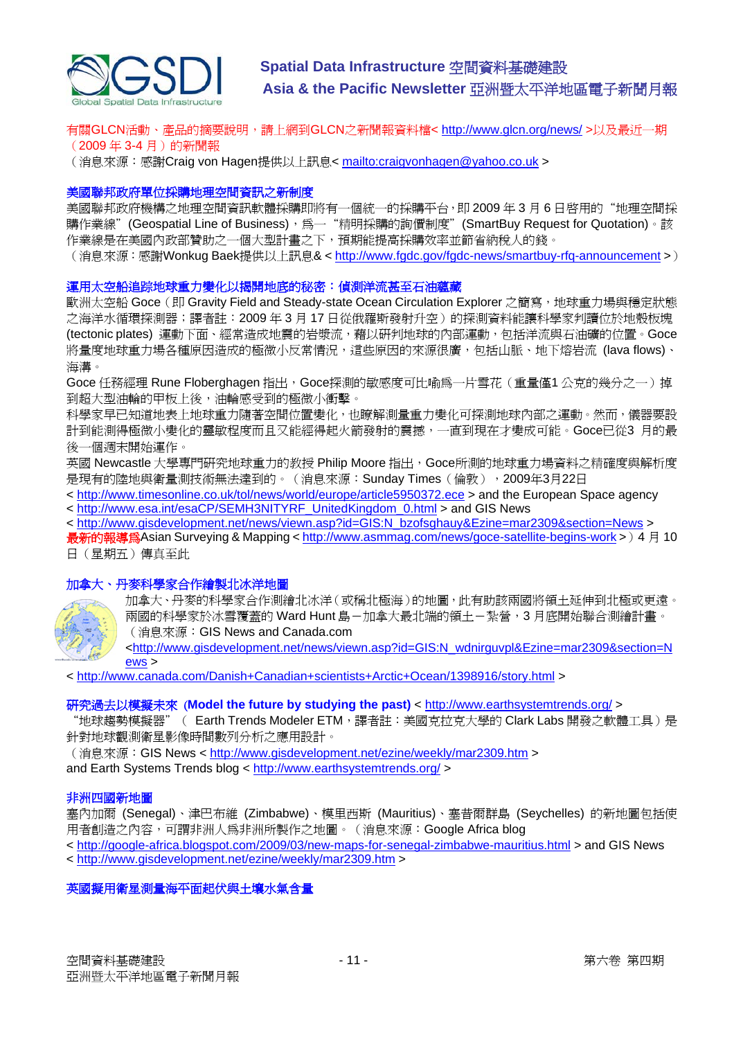

有關GLCN活動、產品的摘要說明,請上網到GLCN之新聞報資料檔<<http://www.glcn.org/news/> >以及最近一期 (2009年3-4月)的新聞報

(消息來源:感謝Craig von Hagen提供以上訊息< <mailto:craigvonhagen@yahoo.co.uk>>

#### 美國聯邦政府單位採購地理空間資訊之新制度

美國聯邦政府機構之地理空間資訊軟體採購即將有一個統一的採購平台,即 2009 年 3 月 6 日啓用的"地理空間採 購作業線"(Geospatial Line of Business),為一"精明採購的詢價制度"(SmartBuy Request for Quotation)。該 作業線是在美國內政部贊助之一個大型計畫之下,預期能提高採購效率並節省納稅人的錢。

(消息來源:感謝Wonkug Baek提供以上訊息& < http://www.fgdc.gov/fgdc-news/smartbuy-rfg-announcement >)

#### 運用太空船追踪地球重力變化以揭開地底的秘密:偵測洋流甚至石油蘊藏

歐洲太空船 Goce (即 Gravity Field and Steady-state Ocean Circulation Explorer 之簡寫, 地球重力場與穩定狀態 之海洋水循環探測器;譯者註: 2009年3月17日從俄羅斯發射升空)的探測資料能讓科學家判讀位於地殼板塊 (tectonic plates) 運動下面、經常造成地震的岩漿流, 藉以研判地球的內部運動, 何括洋流與石油礦的位置。Goce 將量度地球重力場各種原因造成的極微小反常情況,這些原因的來源很廣,包括山脈、地下熔岩流 (lava flows)、 海溝。

Goce 任務經理 Rune Floberghagen 指出, Goce探測的敏感度可比喻為一片雪花(重量僅1公克的幾分之一)掉 到超大型油輪的甲板上後,油輪感受到的極微小衝擊。

科學家早已知道地表上地球重力隨著空間位置變化,也瞭解測量重力變化可探測地球內部之運動。然而,儀器要設 計到能測得極微小變化的靈敏程度而且又能經得起火箭發射的震撼,一直到現在才變成可能。Goce已從3 月的最 後一個週末開始運作。

英國 Newcastle 大學專門研究地球重力的教授 Philip Moore 指出, Goce所測的地球重力場資料之精確度與解析度 是現有的陸地與衛量測技術無法達到的。(消息來源: Sunday Times (倫敦), 2009年3月22日

- < <http://www.timesonline.co.uk/tol/news/world/europe/article5950372.ece>> and the European Space agency < [http://www.esa.int/esaCP/SEMH3NITYRF\\_UnitedKingdom\\_0.html](http://www.esa.int/esaCP/SEMH3NITYRF_UnitedKingdom_0.html) > and GIS News
- < [http://www.gisdevelopment.net/news/viewn.asp?id=GIS:N\\_bzofsghauy&Ezine=mar2309&section=News](http://www.gisdevelopment.net/news/viewn.asp?id=GIS:N_bzofsghauy&Ezine=mar2309§ion=News) >

最新的報導為Asian Surveying & Mapping <<http://www.asmmag.com/news/goce-satellite-begins-work>>)4 月 10 日(星期五)傳真至此

#### 加拿大、丹麥科學家合作繪製北冰洋地圖



加拿大、丹麥的科學家合作測繪北冰洋(或稱北極海)的地圖,此有助該兩國將領土延伸到北極或更遠。 兩國的科學家於冰雪覆蓋的 Ward Hunt 島-加拿大最北端的領+-紮營,3 月底開始聯合測繪計書。 (消息來源:GIS News and Canada.com

<[http://www.gisdevelopment.net/news/viewn.asp?id=GIS:N\\_wdnirguvpl&Ezine=mar2309&section=N](http://www.gisdevelopment.net/news/viewn.asp?id=GIS:N_wdnirguvpl&Ezine=mar2309§ion=News) [ews](http://www.gisdevelopment.net/news/viewn.asp?id=GIS:N_wdnirguvpl&Ezine=mar2309§ion=News) >

< <http://www.canada.com/Danish+Canadian+scientists+Arctic+Ocean/1398916/story.html>>

#### 研究過去以模擬未來 (**Model the future by studying the past)** < <http://www.earthsystemtrends.org/> >

"地球趨勢模擬器"( Earth Trends Modeler ETM, 譯者註: 美國克拉克大學的 Clark Labs 開發之軟體工具)是 針對地球觀測衛星影像時間數列分析之應用設計。

(消息來源:GIS News <<http://www.gisdevelopment.net/ezine/weekly/mar2309.htm> >

and Earth Systems Trends blog <<http://www.earthsystemtrends.org/> >

#### 非洲四國新地圖

塞內加爾 (Senegal)、津巴布維 (Zimbabwe)、模里西斯 (Mauritius)、塞昔爾群島 (Seychelles) 的新地圖包括使 用者創造之內容,可謂非洲人為非洲所製作之地圖。(消息來源:Google Africa blog

< <http://google-africa.blogspot.com/2009/03/new-maps-for-senegal-zimbabwe-mauritius.html> > and GIS News

< <http://www.gisdevelopment.net/ezine/weekly/mar2309.htm>>

英國擬用衛星測量海平面起伏與土壤水氣含量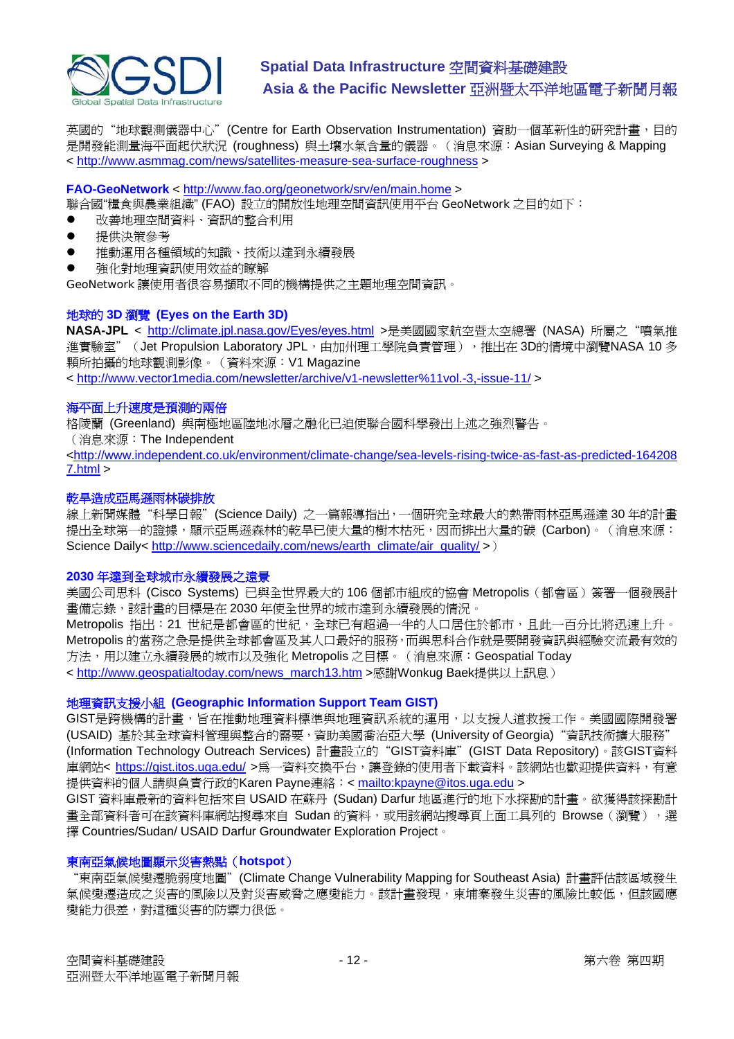

英國的"地球觀測儀器中心" (Centre for Earth Observation Instrumentation) 資助一個革新性的研究計畫, 目的 是開發能測量海平面起伏狀況 (roughness) 與土壤水氣含量的儀器。(消息來源:Asian Surveying & Mapping < <http://www.asmmag.com/news/satellites-measure-sea-surface-roughness>>

#### **FAO-GeoNetwork** < <http://www.fao.org/geonetwork/srv/en/main.home> >

聯合國"糧食與農業組織" (FAO) 設立的開放性地理空間資訊使用平台 GeoNetwork 之目的如下:

- 改善地理空間資料、資訊的整合利用
- 提供決策參考
- 推動運用各種領域的知識、技術以達到永續發展
- 強化對地理資訊使用效益的瞭解

GeoNetwork 讓使用者很容易擷取不同的機構提供之主題地理空間資訊。

#### 地球的 **3D** 瀏覽 **(Eyes on the Earth 3D)**

**NASA-JPL** < <http://climate.jpl.nasa.gov/Eyes/eyes.html> >是美國國家航空暨太空總署 (NASA) 所屬之"噴氣推 進實驗室"(Jet Propulsion Laboratory JPL, 由加州理工學院負責管理), 推出在 3D的情境中瀏覽NASA 10 多 顆所拍攝的地球觀測影像。(資料來源:V1 Magazine

< <http://www.vector1media.com/newsletter/archive/v1-newsletter%11vol.-3,-issue-11/> >

#### 海平面上升速度是預測的兩倍

格陵蘭 (Greenland) 與南極地區陸地冰層之融化已迫使聯合國科學發出上述之強烈警告。

(消息來源:The Independent

<[http://www.independent.co.uk/environment/climate-change/sea-levels-rising-twice-as-fast-as-predicted-164208](http://www.independent.co.uk/environment/climate-change/sea-levels-rising-twice-as-fast-as-predicted-1642087.html) [7.html](http://www.independent.co.uk/environment/climate-change/sea-levels-rising-twice-as-fast-as-predicted-1642087.html) >

#### 乾旱造成亞馬遜雨林碳排放

線上新聞媒體"科學日報"(Science Daily) 之一篇報導指出,一個研究全球最大的熱帶雨林亞馬遜達30年的計畫 提出全球第一的證據,顯示亞馬遜森林的乾旱已使大量的樹木枯死,因而排出大量的碳 (Carbon)。(消息來源: Science Daily< [http://www.sciencedaily.com/news/earth\\_climate/air\\_quality/](http://www.sciencedaily.com/news/earth_climate/air_quality/) >)

#### **2030** 年達到全球城市永續發展之遠景

美國公司思科 (Cisco Systems) 已與全世界最大的 106 個都市組成的協會 Metropolis (都會區) 簽署一個發展計 書備忘錄,該計畫的目標是在 2030 年使全世界的城市達到永續發展的情況。

Metropolis 指出:21 世紀是都會區的世紀,全球已有超過一半的人口居住於都市,且此一百分比將迅速上升。 Metropolis 的當務之急是提供全球都會區及其人口最好的服務,而與思科合作就是要開發資訊與經驗交流最有效的 方法,用以建立永續發展的城市以及強化 Metropolis 之目標。(消息來源: Geospatial Today < [http://www.geospatialtoday.com/news\\_march13.htm](http://www.geospatialtoday.com/news_march13.htm) >感謝Wonkug Baek提供以上訊息)

#### 地理資訊支援小組 **(Geographic Information Support Team GIST)**

GIST是跨機構的計畫,旨在推動地理資料標準與地理資訊系統的運用,以支援人道救援工作。美國國際開發署 (USAID) 基於其全球資料管理與整合的需要,資助美國喬治亞大學 (University of Georgia) "資訊技術擴大服務" (Information Technology Outreach Services) 計畫設立的"GIST資料庫"(GIST Data Repository)。該GIST資料 庫網站< <https://gist.itos.uga.edu/> >為一資料交換平台,讓登錄的使用者下載資料。該網站也歡迎提供資料,有意 提供資料的個人請與負責行政的Karen Payne連絡: <<mailto:kpayne@itos.uga.edu>>

GIST 資料庫最新的資料包括來自 USAID 在蘇丹 (Sudan) Darfur 地區進行的地下水探勘的計畫。欲獲得該探勘計 畫全部資料者可在該資料庫網站搜尋來自 Sudan 的資料,或用該網站搜尋頁上面工具列的 Browse (瀏覽),選 擇 Countries/Sudan/ USAID Darfur Groundwater Exploration Project。

#### 東南亞氣候地圖顯示災害熱點(**hotspot**)

"東南亞氣候變遷脆弱度地圖"(Climate Change Vulnerability Mapping for Southeast Asia) 計畫評估該區域發生 氣候變遷造成之災害的風險以及對災害威脅之應變能力。該計畫發現,柬埔寨發生災害的風險比較低,但該國應 變能力很差,對這種災害的防禦力很低。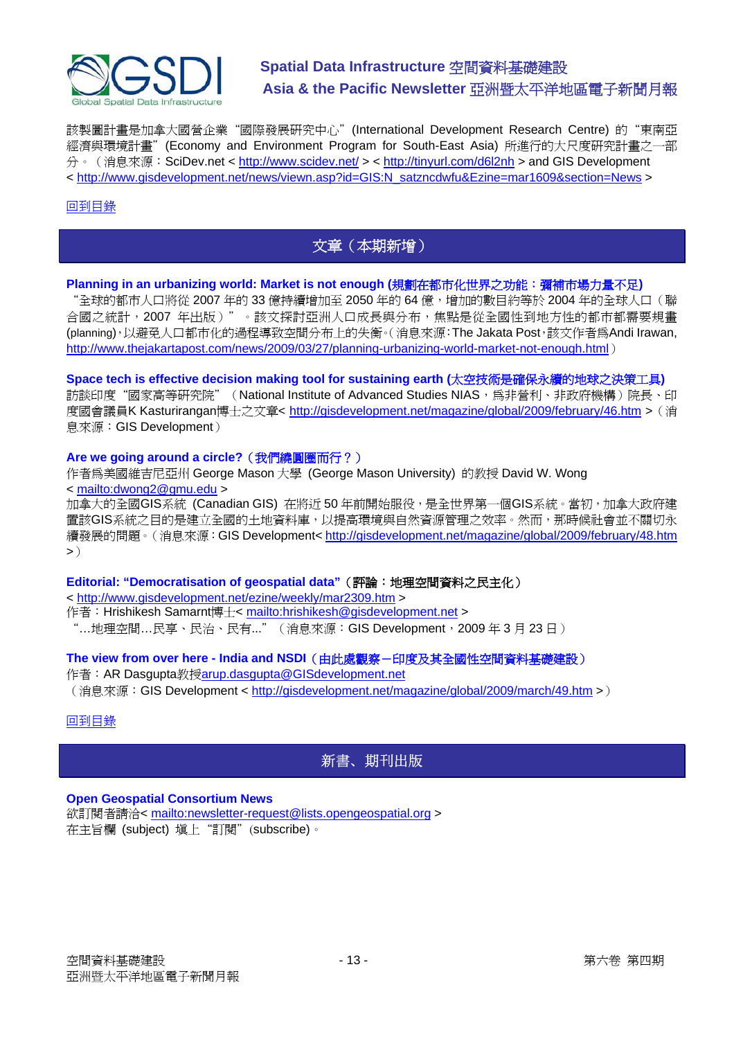<span id="page-12-0"></span>

該製圖計畫是加拿大國營企業"國際發展研究中心"(International Development Research Centre) 的"東南亞 經濟與環境計畫"(Economy and Environment Program for South-East Asia) 所進行的大尺度研究計畫之一部 分。(消息來源: SciDev.net < <http://www.scidev.net/>> <<http://tinyurl.com/d6l2nh> > and GIS Development < [http://www.gisdevelopment.net/news/viewn.asp?id=GIS:N\\_satzncdwfu&Ezine=mar1609&section=News](http://www.gisdevelopment.net/news/viewn.asp?id=GIS:N_satzncdwfu&Ezine=mar1609§ion=News) >

#### [回到目錄](#page-0-0)

### 文章(本期新增)

#### **Planning in an urbanizing world: Market is not enough (**規劃在都市化世界之功能:彌補市場力量不足**)**

"全球的都市人口將從 2007 年的 33 億持續增加至 2050 年的 64 億,增加的數目約等於 2004 年的全球人口(聯 合國之統計,2007 年出版)"。該文探討亞洲人口成長與分布,焦點是從全國性到地方性的都市都需要規畫 (planning),以避免人口都市化的過程導致空間分布上的失衡。(消息來源:The Jakata Post,該文作者為Andi Irawan, <http://www.thejakartapost.com/news/2009/03/27/planning-urbanizing-world-market-not-enough.html>)

**Space tech is effective decision making tool for sustaining earth (**太空技術是確保永續的地球之決策工具**)**  訪談印度"國家高等研究院" (National Institute of Advanced Studies NIAS, 為非營利、非政府機構)院長、印 度國會議員K Kasturirangan博士之文章< <http://gisdevelopment.net/magazine/global/2009/february/46.htm>>(消 息來源:GIS Development)

#### **Are we going around a circle?**(我們繞圓圈而行?)

作者為美國維吉尼亞州 George Mason 大學 (George Mason University) 的教授 David W. Wong < <mailto:dwong2@gmu.edu> >

加拿大的全國GIS系統 (Canadian GIS) 在將近 50 年前開始服役,是全世界第一個GIS系統。當初,加拿大政府建 置該GIS系統之目的是建立全國的土地資料庫,以提高環境與自然資源管理之效率。然而,那時候社會並不關切永 續發展的問題。(消息來源:GIS Development<<http://gisdevelopment.net/magazine/global/2009/february/48.htm>  $\boldsymbol{>})$ 

#### **Editorial: "Democratisation of geospatial data"**(評論:地理空間資料之民主化)

< <http://www.gisdevelopment.net/ezine/weekly/mar2309.htm>>

作者: Hrishikesh Samarnt博士< <mailto:hrishikesh@gisdevelopment.net> >

"…地理空間…民享、民治、民有…"(消息來源: GIS Development, 2009年3月 23日)

#### **The view from over here - India and NSDI**(由此處觀察-印度及其全國性空間資料基礎建設)

作者: AR Dasgupta教授[arup.dasgupta@GISdevelopment.net](mailto:arup.dasgupta@GISdevelopment.net) (消息來源:GIS Development <<http://gisdevelopment.net/magazine/global/2009/march/49.htm> >)

#### [回到目錄](#page-0-0)

### 新書、期刊出版

#### **Open Geospatial Consortium News**

欲訂閱者請洽< <mailto:newsletter-request@lists.opengeospatial.org> > 在主旨欄 (subject) 填上"訂閱"(subscribe)。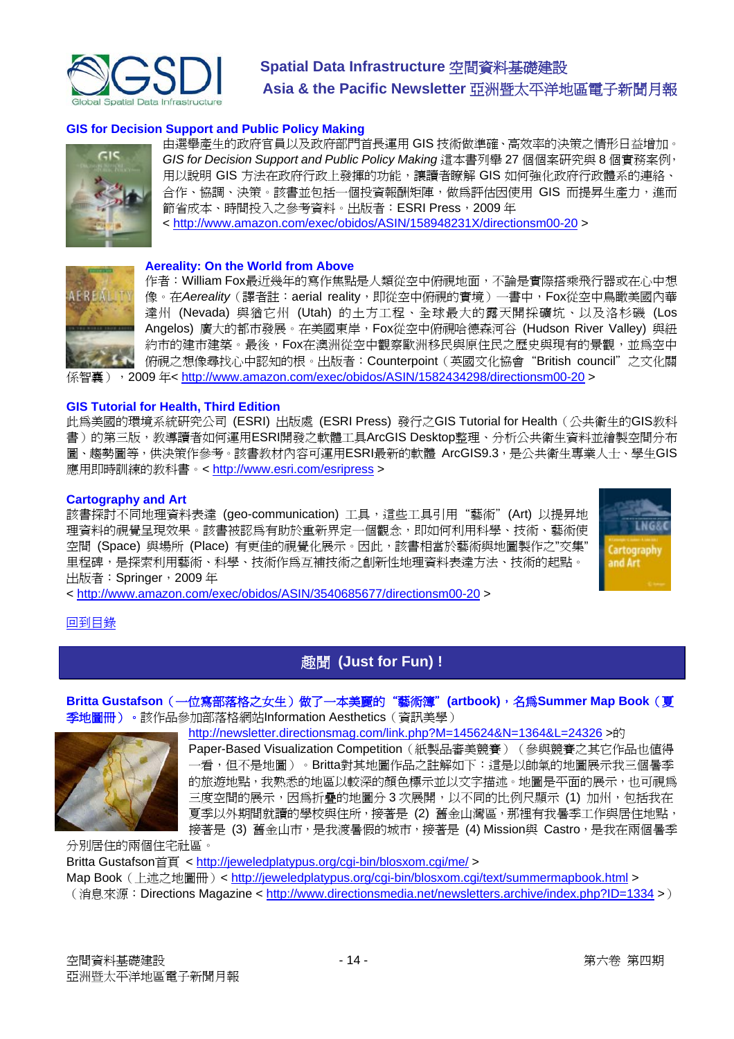<span id="page-13-0"></span>

#### **GIS for Decision Support and Public Policy Making**



AFRI

由選舉產生的政府官員以及政府部門首長運用 GIS 技術做準確、高效率的決策之情形日益增加。 *GIS for Decision Support and Public Policy Making* 這本書列舉 27 個個案研究與 8 個實務案例, 用以說明 GIS 方法在政府行政上發揮的功能,讓讀者瞭解 GIS 如何強化政府行政體系的連絡、 合作、協調、決策。該書並包括一個投資報酬矩陣,做為評估因使用 GIS 而提昇生產力,進而 節省成本、時間投入之參考資料。出版者: ESRI Press, 2009年 < <http://www.amazon.com/exec/obidos/ASIN/158948231X/directionsm00-20> >

#### **Aereality: On the World from Above**

作者: William Fox最近幾年的寫作焦點是人類從空中俯視地面,不論是實際搭乘飛行器或在心中想 像。在Aereality (譯者註: aerial reality, 即從空中俯視的實境)一書中, Fox從空中鳥瞰美國內華 達州 (Nevada) 與猶它州 (Utah) 的土方工程、全球最大的露天開採礦坑、以及洛杉磯 (Los Angelos) 廣大的都市發展。在美國東岸,Fox從空中俯視哈德森河谷 (Hudson River Valley) 與紐 約市的建市建築。最後,Fox在澳洲從空中觀察歐洲移民與原住民之歷史與現有的景觀,並為空中 俯視之想像尋找心中認知的根。出版者:Counterpoint(英國文化協會"British council"之文化關 [係智囊\),](http://newsletter.directionsmag.com/link.php?M=145624&N=1392&L=24470)2009 年<<http://www.amazon.com/exec/obidos/ASIN/1582434298/directionsm00-20> >

#### **GIS Tutorial for Health, Third Edition**

此為美國的環境系統研究公司 (ESRI) 出版處 (ESRI Press) 發行之GIS Tutorial for Health(公共衛生的GIS教科 書)的第三版,教導讀者如何運用ESRI開發之軟體工具ArcGIS Desktop整理、分析公共衛生資料並繪製空間分布 圖、趨勢圖等,供決策作參考。該書教材內容可運用ESRI最新的軟體 ArcGIS9.3,是公共衛生專業人士、學生GIS 應用即時訓練的教科書。<<http://www.esri.com/esripress> >

#### **Cartography and Art**

該書探討不同地理資料表達 (geo-communication) 工具,這些工具引用"藝術" (Art) 以提昇地 理資料的視覺呈現效果。該書被認為有助於重新界定一個觀念,即如何利用科學、技術、藝術使 空間 (Space) 與場所 (Place) 有更佳的視覺化展示。因此,該書相當於藝術與地圖製作之"交集" 里程碑,是探索利用藝術、科學、技術作為互補技術之創新性地理資料表達方法、技術的起點。 出版者:Springer,2009 年



< <http://www.amazon.com/exec/obidos/ASIN/3540685677/directionsm00-20> >

#### [回到目錄](#page-0-0)

### 趣聞 **(Just for Fun) !**

#### **Britta Gustafson**(一位寫部落格之女生)做了一本美麗的"藝術簿"**(artbook)**,名為**Summer Map Book**(夏 季地圖冊)。該作品參加部落格網站Information Aesthetics(資訊美學)



<http://newsletter.directionsmag.com/link.php?M=145624&N=1364&L=24326> >的 Paper-Based Visualization Competition (紙製品審美競賽) (參與競賽之其它作品也值得 一看,但不是地圖)。Britta對其地圖作品之註解如下:這是以帥氣的地圖展示我三個暑季 的旅遊地點,我熟悉的地區以較深的顏色標示並以文字描述。地圖是平面的展示,也可視為 三度空間的展示,因為折疊的地圖分 3 次展開,以不同的比例尺顯示 (1) 加州,包括我在 夏季以外期間就讀的學校與住所,接著是 (2) 舊金山灣區,那裡有我暑季工作與居住地點, 接著是 (3) 舊金山市,是我渡暑假的城市,接著是 (4) Mission與 Castro,是我在兩個暑季

分別居住的兩個住宅社區。 Britta Gustafson首頁 <<http://jeweledplatypus.org/cgi-bin/blosxom.cgi/me/>> Map Book (上述之地圖冊) < <http://jeweledplatypus.org/cgi-bin/blosxom.cgi/text/summermapbook.html> > (消息來源: Directions Magazine < <http://www.directionsmedia.net/newsletters.archive/index.php?ID=1334> >)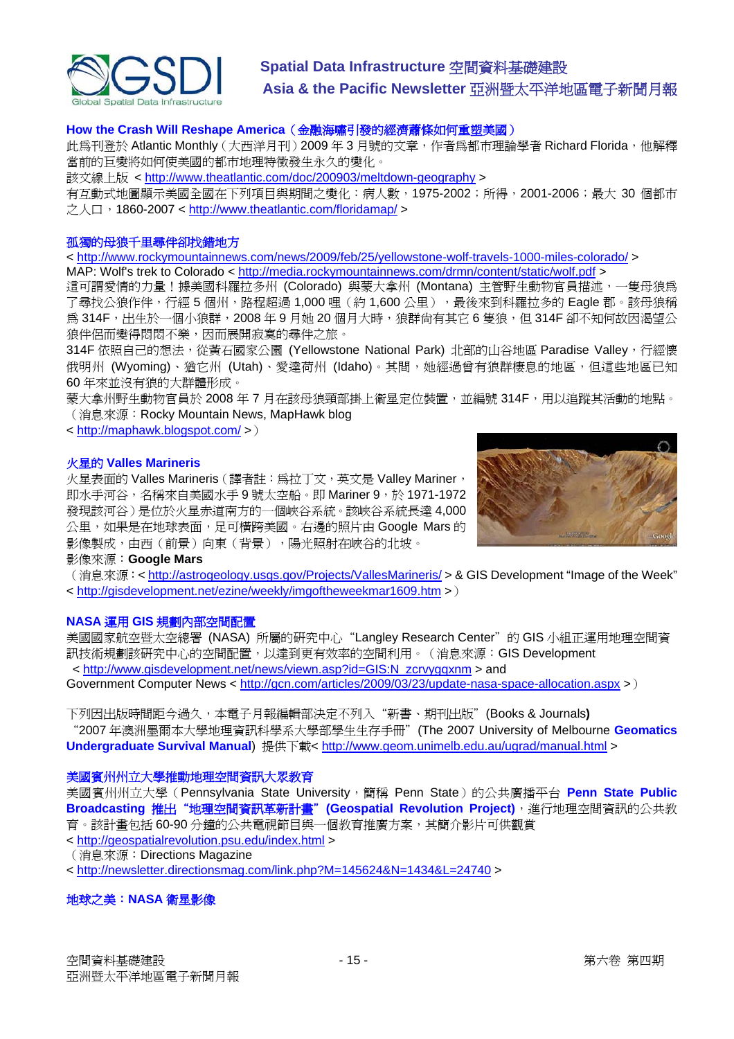

#### **How [the Crash Will Reshape America](http://www.theatlantic.com/doc/200903/meltdown-geography)**(金融海嘯引發的經濟蕭條如何重塑美國)

此為刊登於 Atlantic Monthly (大西洋月刊) 2009 年 3 月號的文章, 作者為都市理論學者 Richard Florida, 他解釋 當前的巨變將如何使美國的都市地理特徵發生永久的變化。

該文線上版 <<http://www.theatlantic.com/doc/200903/meltdown-geography>>

有互動式地圖顯示美國全國在下列項目與期間之變化:病人數,1975-2002;所得,2001-2006;最大 30 個都市 之人口,1860-2007 <<http://www.theatlantic.com/floridamap/> >

#### 孤獨的母狼千里尋伴卻找錯地方

< <http://www.rockymountainnews.com/news/2009/feb/25/yellowstone-wolf-travels-1000-miles-colorado/> > MAP: Wolf's trek to Colorado <<http://media.rockymountainnews.com/drmn/content/static/wolf.pdf>>

這可謂愛情的力量!據美國科羅拉多州 (Colorado) 與蒙大拿州 (Montana) 主管野生動物官員描述,一隻母狼為 了尋找公狼作伴,行經 5個州,路程超過 1,000 哩 (約 1,600 公里),最後來到科羅拉多的 Eagle 郡。該母狼稱 為 314F,出生於一個小狼群,2008 年 9 月她 20 個月大時,狼群尚有其它 6 隻狼,但 314F 卻不知何故因渴望公 狼伴侶而變得悶悶不樂,因而展開寂寞的尋伴之旅。

314F 依照自己的想法,從黃石國家公園 (Yellowstone National Park) 北部的山谷地區 Paradise Vallev, 行經懷 俄明州 (Wyoming)、猶它州 (Utah)、愛達荷州 (Idaho)。其間,她經過曾有狼群棲息的地區,但這些地區已知 60 年來並沒有狼的大群體形成。

蒙大拿州野生動物官員於 2008 年 7 月在該母狼頸部掛上衛星定位裝置,並編號 314F,用以追蹤其活動的地點。 (消息來源:Rocky Mountain News, MapHawk blog

< <http://maphawk.blogspot.com/> >)

#### 火星的 **Valles Marineris**

火星表面的 Valles Marineris (譯者註:為拉丁文, 英文是 Valley Mariner, 即水手河谷,名稱來自美國水手 9 號太空船。即 Mariner 9,於 1971-1972 發現該河谷)是位於火星赤道南方的一個峽谷系統。該峽谷系統長達 4,000 公里,如果是在地球表面,足可橫跨美國。右邊的照片由 Google Mars 的 影像製成,由西(前景)向東(背景),陽光照射在峽谷的北坡。



影像來源:**Google Mars**

(消息來源: <<http://astrogeology.usgs.gov/Projects/VallesMarineris/> > & GIS Development "Image of the Week" < <http://gisdevelopment.net/ezine/weekly/imgoftheweekmar1609.htm>>)

#### **NASA** 運用 **GIS** 規劃內部空間配置

美國國家航空暨太空總署 (NASA) 所屬的研究中心"Langley Research Center"的 GIS 小組正運用地理空間資 訊技術規劃該研究中心的空間配置,以達到更有效率的空間利用。(消息來源:GIS Development < [http://www.gisdevelopment.net/news/viewn.asp?id=GIS:N\\_zcrvygqxnm](http://www.gisdevelopment.net/news/viewn.asp?id=GIS:N_zcrvygqxnm) > and

Government Computer News < <http://gcn.com/articles/2009/03/23/update-nasa-space-allocation.aspx>>)

下列因出版時間距今過久,本電子月報編輯部決定不列入"新書、期刊出版"(Books & Journals**)**  "2007 年澳洲墨爾本大學地理資訊科學系大學部學生生存手冊"(The 2007 University of Melbourne **Geomatics Undergraduate Survival Manual**) 提供下載< <http://www.geom.unimelb.edu.au/ugrad/manual.html> >

#### 美國賓州州立大學推動地理空間資訊大眾教育

美國賓州州立大學 (Pennsylvania State University,簡稱 Penn State) 的公共廣播平台 Penn State Public **Broadcasting 推出"地理空間資訊革新計畫" (Geospatial Revolution Project)**, 進行地理空間資訊的公共教 育。該計畫包括 60-90 分鐘的公共電視節目與一個教育推廣方案,其簡介影片可供觀賞

< <http://geospatialrevolution.psu.edu/index.html> >

(消息來源:Directions Magazine

< <http://newsletter.directionsmag.com/link.php?M=145624&N=1434&L=24740> >

#### 地球之美:**NASA** 衛星影像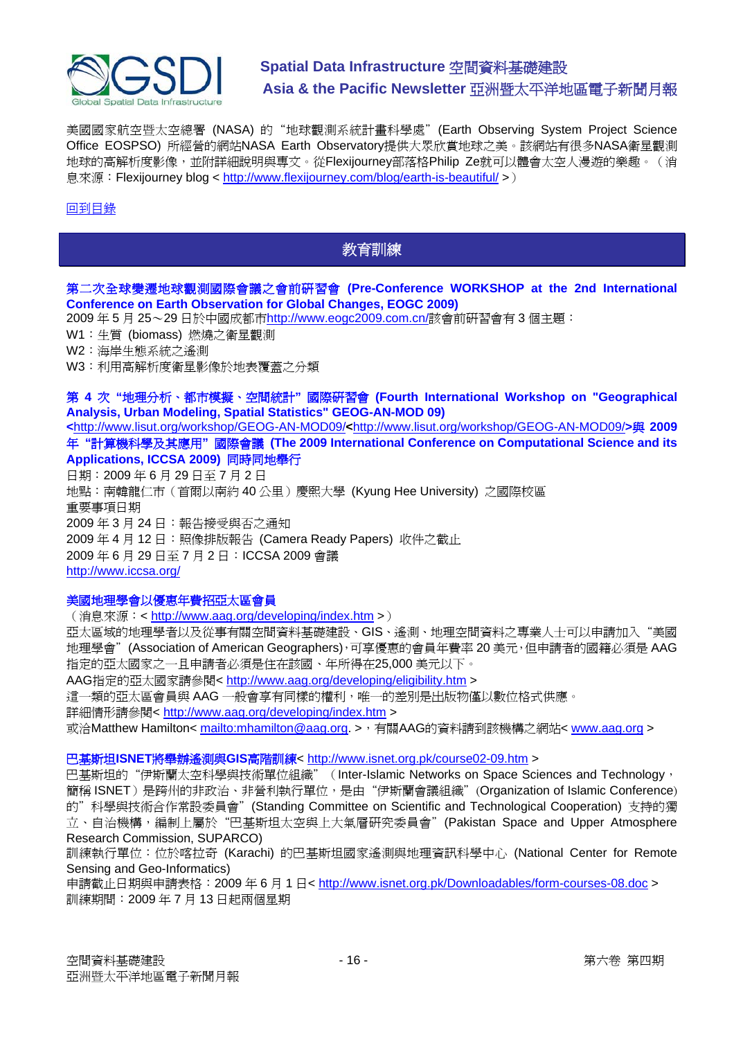<span id="page-15-0"></span>

美國國家航空暨太空總署 (NASA) 的"地球觀測系統計畫科學處"(Earth Observing System Project Science Office EOSPSO) 所經營的網站NASA Earth Observatory提供大眾欣賞地球之美。該網站有很多NASA衛星觀測 地球的高解析度影像,並附詳細說明與專文。從Flexijourney部落格Philip Ze就可以體會太空人漫遊的樂趣。(消 息來源: Flexijourney blog < <http://www.flexijourney.com/blog/earth-is-beautiful/> >)

#### [回到目錄](#page-0-0)

### 教育訓練

#### 第二次全球變遷地球觀測國際會議之會前研習會 **(Pre-Conference WORKSHOP at the 2nd International Conference on Earth Observation for Global Changes, EOGC 2009)**

2009 年 5 月 25~29 日於中國成都市<http://www.eogc2009.com.cn/>該會前研習會有 3 個主題:

W1:生質 (biomass) 燃燒之衛星觀測

W2:海岸生態系統之遙測

W3:利用高解析度衛星影像於地表覆蓋之分類

#### 第 **4** 次 **"**地理分析、都市模擬、空間統計**"** 國際研習會 **(Fourth International Workshop on "Geographical Analysis, Urban Modeling, Spatial Statistics" GEOG-AN-MOD 09)**

**<**<http://www.lisut.org/workshop/GEOG-AN-MOD09/>**<**<http://www.lisut.org/workshop/GEOG-AN-MOD09/>**>**與 **2009** 年 **"**計算機科學及其應用**"** 國際會議 **(The 2009 International Conference on Computational Science and its Applications, ICCSA 2009)** 同時同地舉行

日期:2009 年 6 月 29 日至 7 月 2 日 地點:南韓龍仁市(首爾以南約 40 公里)慶熙大學 (Kyung Hee University) 之國際校區 重要事項日期 2009 年 3 月 24 日:報告接受與否之通知 2009 年 4 月 12 日:照像排版報告 (Camera Ready Papers) 收件之截止 2009 年 6 月 29 日至 7 月 2 日:ICCSA 2009 會議 <http://www.iccsa.org/>

#### 美國地理學會以優惠年費招亞太區會員

(消息來源:< <http://www.aag.org/developing/index.htm> >)

亞太區域的地理學者以及從事有關空間資料基礎建設、GIS、遙測、地理空間資料之專業人士可以申請加入"美國 地理學會"(Association of American Geographers),可享優惠的會員年費率 20 美元,但申請者的國籍必須是 AAG 指定的亞太國家之一且申請者必須是住在該國、年所得在 25,000 美元以下。

AAG指定的亞太國家請參閱< <http://www.aag.org/developing/eligibility.htm> >

這一類的亞太區會員與 AAG 一般會享有同樣的權利,唯一的差別是出版物僅以數位格式供應。

詳細情形請參閱<<http://www.aag.org/developing/index.htm> >

或洽Matthew Hamilton<<mailto:mhamilton@aag.org>. >,有關AAG的資料請到該機構之網站< [www.aag.org](http://www.aag.org/) >

#### 巴基斯坦**ISNET**將舉辦遙測與**GIS**高階訓練<<http://www.isnet.org.pk/course02-09.htm> >

巴基斯坦的"伊斯蘭太空科學與技術單位組織" (Inter-Islamic Networks on Space Sciences and Technology, 簡稱 ISNET)是跨州的非政治、非營利執行單位,是由"伊斯蘭會議組織"(Organization of Islamic Conference) 的"科學與技術合作常設委員會"(Standing Committee on Scientific and Technological Cooperation) 支持的獨 立、自治機構,編制上屬於"巴基斯坦太空與上大氣層研究委員會" (Pakistan Space and Upper Atmosphere Research Commission, SUPARCO) 訓練執行單位:位於喀拉奇 (Karachi) 的巴基斯坦國家遙測與地理資訊科學中心 (National Center for Remote

Sensing and Geo-Informatics)

申請截止日期與申請表格:2009 年 6 月 1 日<<http://www.isnet.org.pk/Downloadables/form-courses-08.doc> > 訓練期間:2009 年 7 月 13 日起兩個星期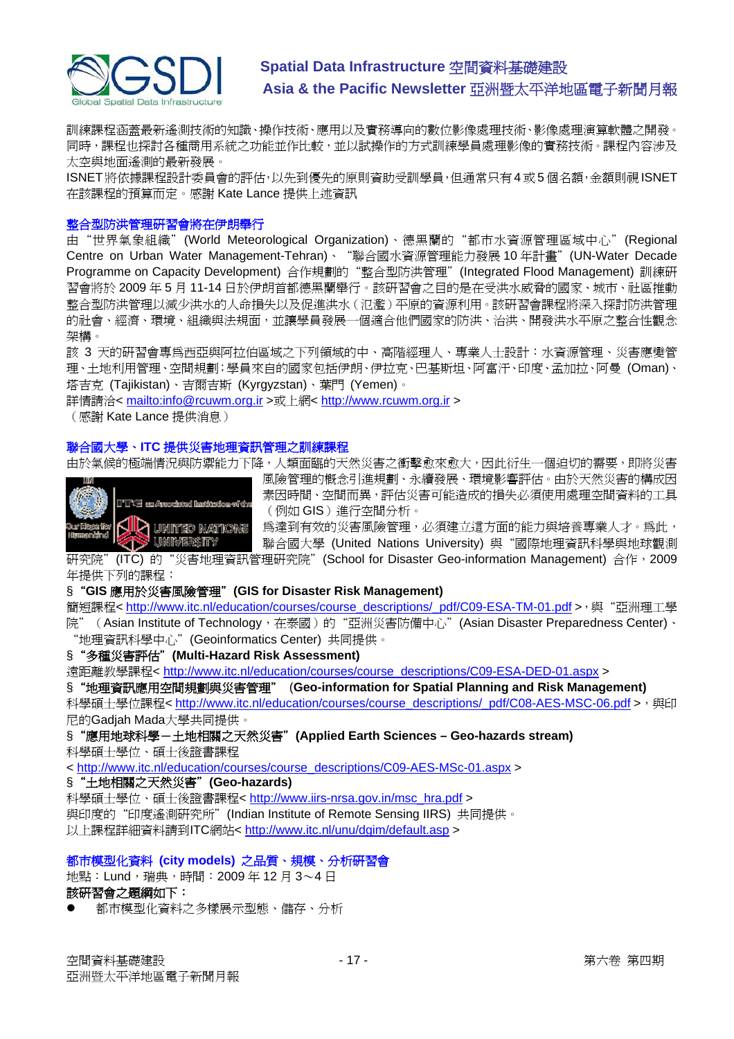

訓練課程涵蓋最新遙測技術的知識、操作技術、應用以及實務導向的數位影像處理技術、影像處理演算軟體之開發。 同時,課程也探討各種商用系統之功能並作比較,並以試操作的方式訓練學員處理影像的實務技術。課程內容涉及 太空與地面遙測的最新發展。

ISNET 將依據課程設計委員會的評估,以先到優先的原則資助受訓學員,但通常只有 4 或 5 個名額,金額則視 ISNET 在該課程的預算而定。感謝 Kate Lance 提供上述資訊

#### 整合型防洪管理研習會將在伊朗舉行

由"世界氣象組織" (World Meteorological Organization)、德黑蘭的"都市水資源管理區域中心" (Regional Centre on Urban Water Management-Tehran)、"聯合國水資源管理能力發展 10 年計畫"(UN-Water Decade Programme on Capacity Development) 合作規劃的"整合型防洪管理"(Integrated Flood Management) 訓練研 習會將於 2009 年 5 月 11-14 日於伊朗首都德黑蘭舉行。該研習會之目的是在受洪水威脅的國家、城市、社區推動 整合型防洪管理以減少洪水的人命損失以及促進洪水(氾濫)平原的資源利用。該研習會課程將深入探討防洪管理 的社會、經濟、環境、組織與法規面,並讓學員發展一個適合他們國家的防洪、治洪、開發洪水平原之整合性觀念 架構。

該 3 天的研習會專為西亞與阿拉伯區域之下列領域的中、高階經理人、專業人士設計:水資源管理、災害應變管 理、土地利用管理、空間規劃;學員來自的國家包括伊朗、伊拉克、巴基斯坦、阿富汗、印度、孟加拉、阿曼 (Oman)、 塔吉克 (Tajikistan)、吉爾吉斯 (Kyrgyzstan)、葉門 (Yemen)。

詳情請洽<<mailto:info@rcuwm.org.ir> >或上網< [http://www.rcuwm.org.ir](http://www.rcuwm.org.ir/) >

(感謝 Kate Lance 提供消息)

#### 聯合國大學、**ITC** 提供災害地理資訊管理之訓練課程

由於氣候的極端情況與防禦能力下降,人類面臨的天然災害之衝擊愈來愈大,因此衍生一個迫切的需要,即將災害



風險管理的概念引進規劃、永續發展、環境影響評估。由於天然災害的構成因 素因時間、空間而異,評估災害可能造成的損失必須使用處理空間資料的工具 (例如 GIS)進行空間分析。

為達到有效的災害風險管理,必須建立這方面的能力與培養專業人才。為此,

聯合國大學 (United Nations University) 與"國際地理資訊科學與地球觀測 研究院"(ITC) 的"災害地理資訊管理硏究院"(School for Disaster Geo-information Management) 合作,2009

年提供下列的課程:

#### §"**GIS** 應用於災害風險管理"**(GIS for Disaster Risk Management)**

簡短課程< [http://www.itc.nl/education/courses/course\\_descriptions/\\_pdf/C09-ESA-TM-01.pdf](http://www.itc.nl/education/courses/course_descriptions/_pdf/C09-ESA-TM-01.pdf) >,與"亞洲理工學 院" (Asian Institute of Technology,在泰國)的"亞洲災害防備中心" (Asian Disaster Preparedness Center)、 "地理資訊科學中心"(Geoinformatics Center) 共同提供。

#### §"多種災害評估"**(Multi-Hazard Risk Assessment)**

遠距離教學課程< [http://www.itc.nl/education/courses/course\\_descriptions/C09-ESA-DED-01.aspx](http://www.itc.nl/education/courses/course_descriptions/C09-ESA-DED-01.aspx) >

§"地理資訊應用空間規劃與災害管理" (**Geo-information for Spatial Planning and Risk Management)**

科學碩士學位課程< [http://www.itc.nl/education/courses/course\\_descriptions/\\_pdf/C08-AES-MSC-06.pdf](http://www.itc.nl/education/courses/course_descriptions/_pdf/C08-AES-MSC-06.pdf) >, 與印 尼的Gadjah Mada大學共同提供。

§"應用地球科學-土地相關之天然災害"**(Applied Earth Sciences – Geo-hazards stream)**  科學碩士學位、碩士後證書課程

< [http://www.itc.nl/education/courses/course\\_descriptions/C09-AES-MSc-01.aspx](http://www.itc.nl/education/courses/course_descriptions/C09-AES-MSc-01.aspx) >

#### §"土地相關之天然災害"**(Geo-hazards)**

科學碩士學位、碩士後證書課程< [http://www.iirs-nrsa.gov.in/msc\\_hra.pdf](http://www.iirs-nrsa.gov.in/msc_hra.pdf) > 與印度的"印度遙測研究所"(Indian Institute of Remote Sensing IIRS) 共同提供。 以上課程詳細資料請到ITC網站< <http://www.itc.nl/unu/dgim/default.asp> >

#### 都市模型化資料 **(city models)** 之品質、規模、分析研習會

地點:Lund,瑞典,時間:2009 年 12 月 3~4 日 該研習會之題綱如下:

z 都市模型化資料之多樣展示型態、儲存、分析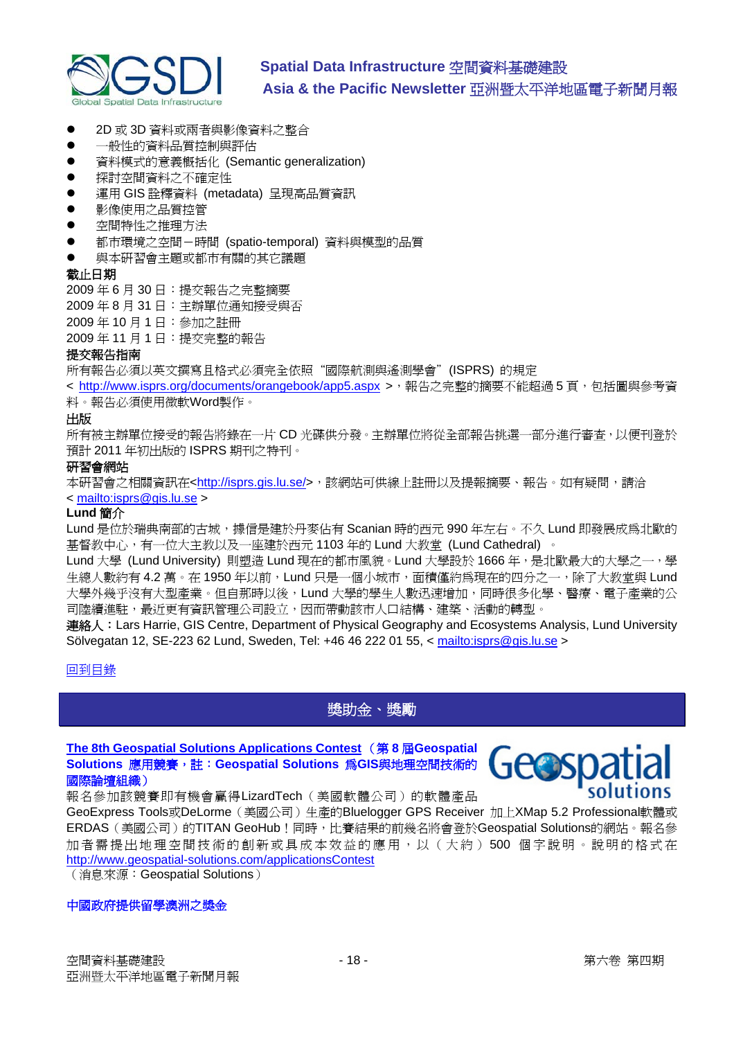<span id="page-17-0"></span>

- 2D 或 3D 資料或兩者與影像資料之整合
- z 一般性的資料品質控制與評估
- 資料模式的意義概括化 (Semantic generalization)
- z 探討空間資料之不確定性
- 運用 GIS 詮釋資料 (metadata) 呈現高品質資訊
- z 影像使用之品質控管
- 空間特性之推理方法
- 都市環境之空間-時間 (spatio-temporal) 資料與模型的品質
- 與本研習會主題或都市有關的其它議題

#### 截止日期

2009 年 6 月 30 日:提交報告之完整摘要

2009 年 8 月 31 日:主辦單位通知接受與否

2009 年 10 月 1 日:參加之註冊

2009 年 11 月 1 日:提交完整的報告

#### 提交報告指南

所有報告必須以英文撰寫且格式必須完全依照"國際航測與遙測學會"(ISPRS) 的規定

< <http://www.isprs.org/documents/orangebook/app5.aspx> >,報告之完整的摘要不能超過5頁,包括圖與參考資 料。報告必須使用微軟Word製作。

#### 出版

所有被主辦單位接受的報告將錄在一片 CD 光碟供分發。主辦單位將從全部報告挑選一部分進行審查,以便刊登於 預計 2011 年初出版的 ISPRS 期刊之特刊。

#### 研習會網站

本研習會之相關資訊在<<http://isprs.gis.lu.se/>>,該網站可供線上註冊以及提報摘要、報告。如有疑問,請洽 < <mailto:isprs@gis.lu.se>>

#### **Lund** 簡介

Lund 是位於瑞典南部的古城,據信是建於丹麥佔有 Scanian 時的西元 990 年左右。不久 Lund 即發展成爲北歐的 基督教中心,有一位大主教以及一座建於西元 1103 年的 Lund 大教堂 (Lund Cathedral) 。

Lund 大學 (Lund University) 則塑造 Lund 現在的都市風貌。Lund 大學設於 1666 年, 是北歐最大的大學之一, 學 生總人數約有 4.2 萬。在 1950 年以前,Lund 只是一個小城市,面積僅約為現在的四分之一,除了大教堂與 Lund 大學外幾乎沒有大型產業。但自那時以後,Lund 大學的學生人數迅速增加,同時很多化學、醫療、電子產業的公 司陸續進駐,最近更有資訊管理公司設立,因而帶動該市人口結構、建築、活動的轉型。

連絡人:Lars Harrie, GIS Centre, Department of Physical Geography and Ecosystems Analysis, Lund University Sölvegatan 12, SE-223 62 Lund, Sweden, Tel: +46 46 222 01 55, < mailto: isprs@gis.lu.se >

### [回到目錄](#page-0-0)

### 獎助金、獎勵

**[The 8th Geospatial Solutions Applications Contest](http://www.geospatial-solutions.com/applicationsContest)** (第 **8** 屆**Geospatial Solutions** 應用競賽,註:**Geospatial Solutions** 為**GIS**與地理空間技術的 國際論壇組織)



GeoExpress Tools或DeLorme(美國公司)生產的Bluelogger GPS Receiver 加上XMap 5.2 Professional軟體或 ERDAS (美國公司)的TITAN GeoHub!同時,比賽結果的前幾名將會登於Geospatial Solutions的網站。報名參 加者需提出地理空間技術的創新或具成本效益的應用,以(大約) 500 個字說明。說明的格式在 <http://www.geospatial-solutions.com/applicationsContest>

(消息來源:Geospatial Solutions)

#### 中國政府提供留學澳洲之獎金

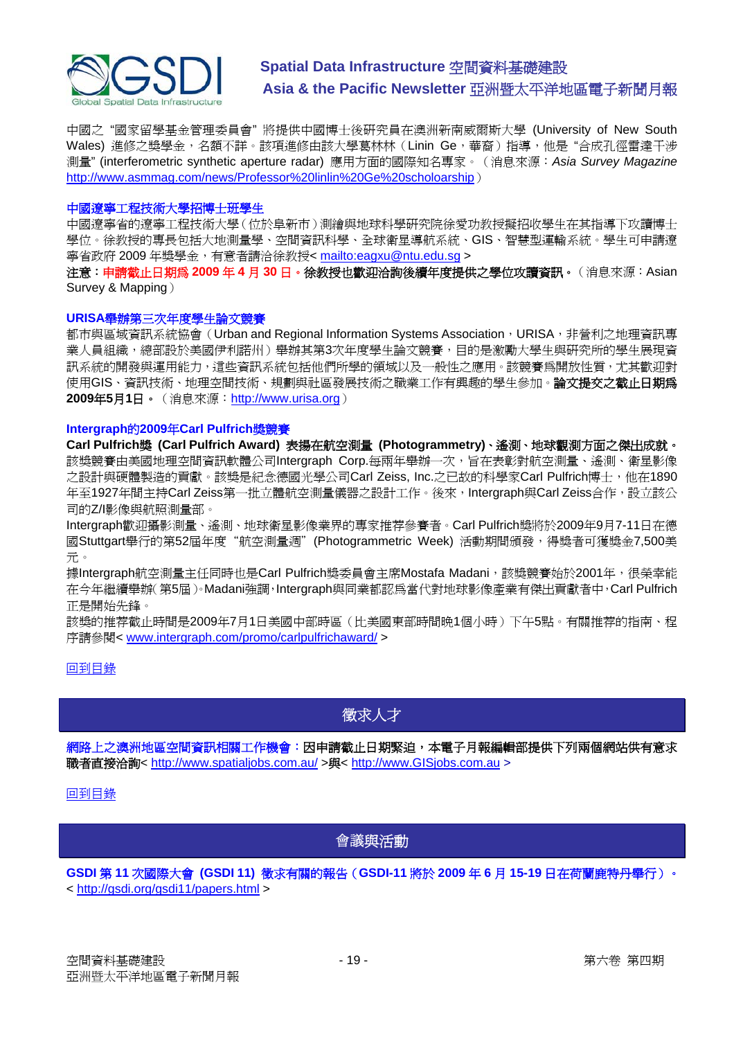<span id="page-18-0"></span>

中國之 "國家留學基金管理委員會" 將提供中國博士後研究員在澳洲新南威爾斯大學 (University of New South Wales) 進修之獎學金, 名額不詳。該項進修由該大學葛林林 (Linin Ge, 華裔) 指導, 他是"合成孔徑雷達干涉 測量" (interferometric synthetic aperture radar) 應用方面的國際知名專家。(消息來源:*Asia Survey Magazine* [http://www.asmmag.com/news/Professor%20linlin%20Ge%20scholoarship](http://www.asmmag.com/news/Professor%2520linlin%2520Ge%2520scholoarship))

#### 中國遼寧工程技術大學招博士班學生

中國遼寧省的遼寧工程技術大學(位於阜新市)測繪與地球科學研究院徐愛功教授擬招收學生在其指導下攻讀博士 學位。徐教授的專長包括大地測量學、空間資訊科學、全球衛星導航系統、GIS、智慧型運輸系統。學生可申請遼 寧省政府 2009 年獎學金,有意者請洽徐教授< <mailto:eagxu@ntu.edu.sg> >

注意:申請截止日期為 **2009** 年 **4** 月 **30** 日。徐教授也歡迎洽詢後續年度提供之學位攻讀資訊。(消息來源:Asian Survey & Mapping)

#### **URISA**舉辦第三次年度學生論文競賽

都市與區域資訊系統協會(Urban and Regional Information Systems Association, URISA, 非營利之地理資訊專 業人員組織,總部設於美國伊利諾州)舉辦其第3次年度學生論文競賽,目的是激勵大學生與研究所的學生展現資 訊系統的開發與運用能力,這些資訊系統包括他們所學的領域以及一般性之應用。該競賽為開放性質,尤其歡迎對 使用GIS、資訊技術、地理空間技術、規劃與社區發展技術之職業工作有興趣的學生參加。論文提交之截止日期為 **2009**年**5**月**1**日。(消息來源:[http://www.urisa.org](http://www.urisa.org/node/1190))

#### **Intergraph**的**2009**年**Carl Pulfrich**獎競賽

**Carl Pulfrich**獎 **(Carl Pulfrich Award)** 表揚在航空測量 **(Photogrammetry)**、遙測、地球觀測方面之傑出成就。 該獎競賽由美國地理空間資訊軟體公司Intergraph Corp.每兩年舉辦一次,旨在表彰對航空測量、遙測、衛星影像 之設計與硬體製造的貢獻。該獎是紀念德國光學公司Carl Zeiss, Inc.之已故的科學家Carl Pulfrich博士, 他在1890 年至1927年間主持Carl Zeiss第一批立體航空測量儀器之設計工作。後來,Intergraph與Carl Zeiss合作,設立該公 司的Z/I影像與航照測量部。

Intergraph歡迎攝影測量、遙測、地球衛星影像業界的專家推荐參賽者。Carl Pulfrich獎將於2009年9月7-11日在德 國Stuttgart舉行的第52屆年度"航空測量週"(Photogrammetric Week) 活動期間頒發,得獎者可獲獎金7,500美 元。

據Intergraph航空測量主任同時也是Carl Pulfrich獎委員會主席Mostafa Madani,該獎競賽始於2001年,很榮幸能 在今年繼續舉辦(第5屆)。Madani強調,Intergraph與同業都認為當代對地球影像產業有傑出貢獻者中,Carl Pulfrich 正是開始先鋒。

該獎的推荐截止時間是2009年7月1日美國中部時區(比美國東部時間晚1個小時)下午5點。有關推荐的指南、程 序請參閱< [www.intergraph.com/promo/carlpulfrichaward/](http://www.intergraph.com/promo/carlpulfrichaward/) >

#### [回到目錄](#page-0-0)

### 徵求人才

網路上之澳洲地區空間資訊相關工作機會:因申請截止日期緊迫,本電子月報編輯部提供下列兩個網站供有意求 職者直接洽詢< <http://www.spatialjobs.com.au/>>與< [http://www.GISjobs.com.au](http://www.gisjobs.com.au/) >

#### [回到目錄](#page-0-0)

### 會議與活動

**GSDI** 第 **11** 次國際大會 **(GSDI 11)** 徵求有關的報告(**GSDI-11** 將於 **2009** 年 **6** 月 **15-19** 日在荷蘭鹿特丹舉行)。 < <http://gsdi.org/gsdi11/papers.html> >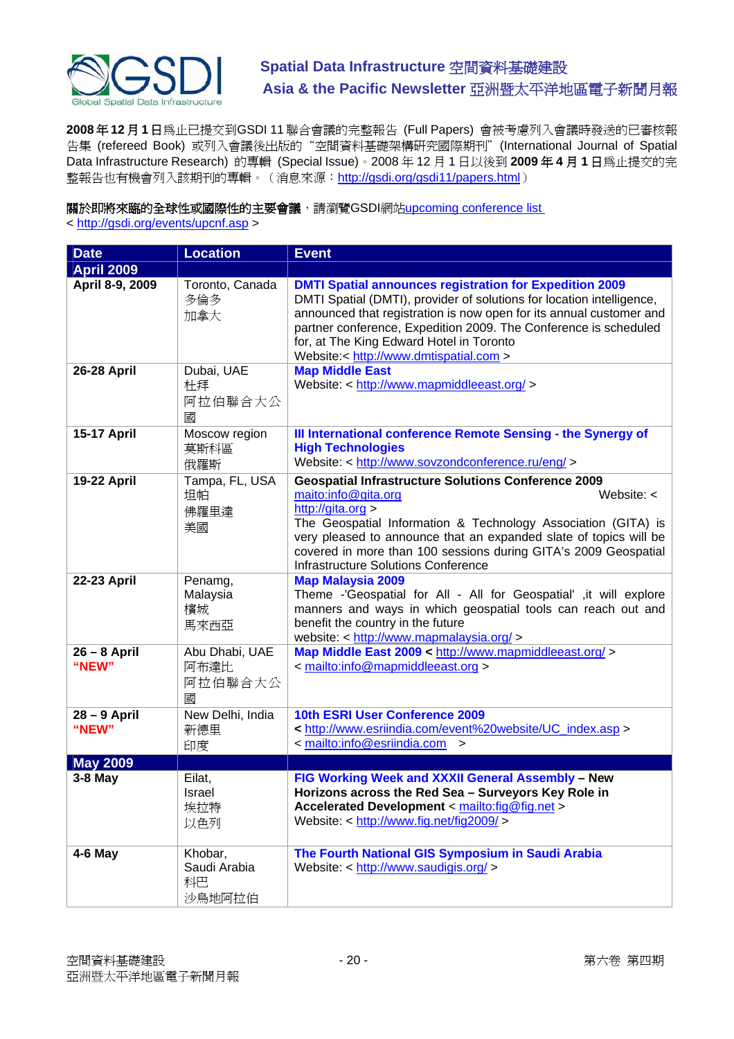

**2008** 年 **12** 月 **1** 日為止已提交到GSDI 11 聯合會議的完整報告 (Full Papers) 會被考慮列入會議時發送的已審核報 告集 (refereed Book) 或列入會議後出版的"空間資料基礎架構研究國際期刊"(International Journal of Spatial Data Infrastructure Research) 的專輯 (Special Issue)。2008 年 12 月 1 日以後到 **2009** 年 **4** 月 **1** 日為止提交的完 整報告也有機會列入該期刊的專輯。(消息來源: <http://gsdi.org/gsdi11/papers.html>)

關於即將來臨的全球性或國際性的主要會議,請瀏覽GSDI網站[upcoming conference list](http://gsdi.org/events/upcnf.asp) 

< <http://gsdi.org/events/upcnf.asp>>

| <b>Date</b>             | <b>Location</b>                         | <b>Event</b>                                                                                                                                                                                                                                                                                                                                                                    |
|-------------------------|-----------------------------------------|---------------------------------------------------------------------------------------------------------------------------------------------------------------------------------------------------------------------------------------------------------------------------------------------------------------------------------------------------------------------------------|
| <b>April 2009</b>       |                                         |                                                                                                                                                                                                                                                                                                                                                                                 |
| April 8-9, 2009         | Toronto, Canada<br>多倫多<br>加拿大           | <b>DMTI Spatial announces registration for Expedition 2009</b><br>DMTI Spatial (DMTI), provider of solutions for location intelligence,<br>announced that registration is now open for its annual customer and<br>partner conference, Expedition 2009. The Conference is scheduled<br>for, at The King Edward Hotel in Toronto<br>Website:< http://www.dmtispatial.com >        |
| 26-28 April             | Dubai, UAE<br>杜拜<br>阿拉伯聯合大公<br>國        | <b>Map Middle East</b><br>Website: < http://www.mapmiddleeast.org/ >                                                                                                                                                                                                                                                                                                            |
| 15-17 April             | Moscow region<br>莫斯科區<br>俄羅斯            | III International conference Remote Sensing - the Synergy of<br><b>High Technologies</b><br>Website: < http://www.sovzondconference.ru/eng/ >                                                                                                                                                                                                                                   |
| <b>19-22 April</b>      | Tampa, FL, USA<br>坦帕<br>佛羅里達<br>美國      | <b>Geospatial Infrastructure Solutions Conference 2009</b><br>maito:info@gita.org<br>Website: $\lt$<br>http://gita.org ><br>The Geospatial Information & Technology Association (GITA) is<br>very pleased to announce that an expanded slate of topics will be<br>covered in more than 100 sessions during GITA's 2009 Geospatial<br><b>Infrastructure Solutions Conference</b> |
| 22-23 April             | Penamg,<br>Malaysia<br>檳城<br>馬來西亞       | <b>Map Malaysia 2009</b><br>Theme -'Geospatial for All - All for Geospatial', it will explore<br>manners and ways in which geospatial tools can reach out and<br>benefit the country in the future<br>website: < http://www.mapmalaysia.org/ >                                                                                                                                  |
| $26 - 8$ April<br>"NEW" | Abu Dhabi, UAE<br>阿布達比<br>阿拉伯聯合大公<br>國  | Map Middle East 2009 < http://www.mapmiddleeast.org/ ><br>< mailto:info@mapmiddleeast.org >                                                                                                                                                                                                                                                                                     |
| 28 - 9 April<br>"NEW"   | New Delhi, India<br>新德里<br>印度           | 10th ESRI User Conference 2009<br>< http://www.esriindia.com/event%20website/UC index.asp ><br>< mailto:info@esriindia.com<br>$\geq$                                                                                                                                                                                                                                            |
| <b>May 2009</b>         |                                         |                                                                                                                                                                                                                                                                                                                                                                                 |
| 3-8 May                 | Eilat,<br>Israel<br>埃拉特<br>以色列          | FIG Working Week and XXXII General Assembly - New<br>Horizons across the Red Sea - Surveyors Key Role in<br>Accelerated Development < mailto:fig@fig.net ><br>Website: < http://www.fig.net/fig2009/>                                                                                                                                                                           |
| $4-6$ May               | Khobar,<br>Saudi Arabia<br>科巴<br>沙鳥地阿拉伯 | The Fourth National GIS Symposium in Saudi Arabia<br>Website: < http://www.saudigis.org/ >                                                                                                                                                                                                                                                                                      |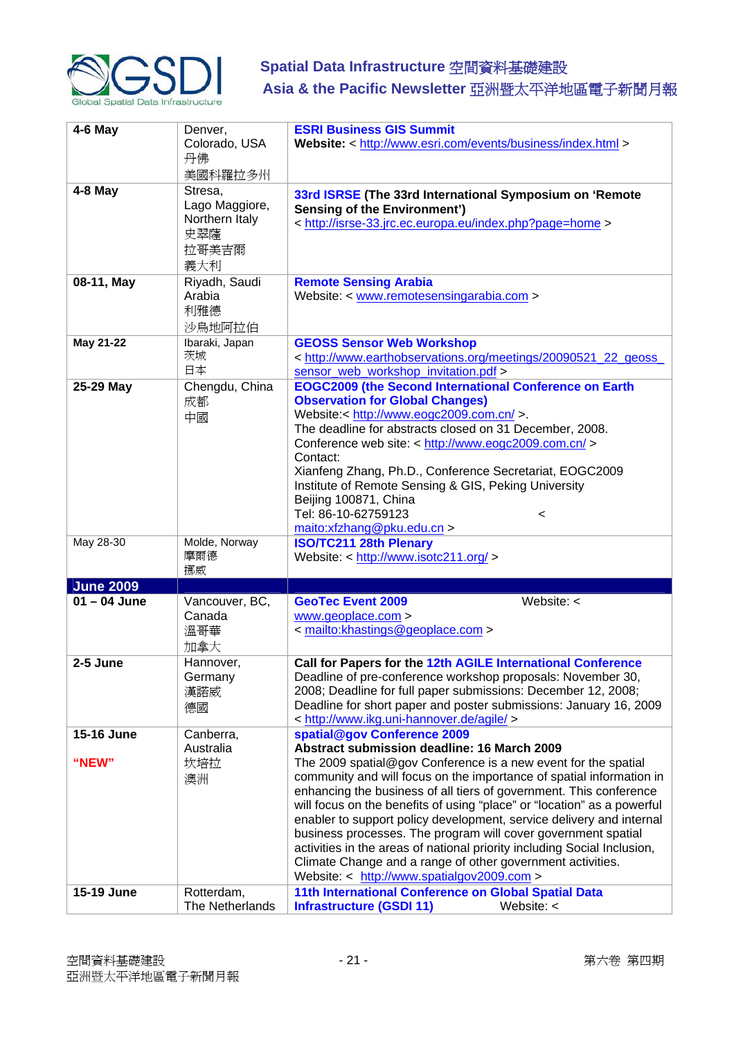

| $4-6$ May           | Denver,<br>Colorado, USA<br>丹佛<br>美國科羅拉多州                          | <b>ESRI Business GIS Summit</b><br>Website: < http://www.esri.com/events/business/index.html >                                                                                                                                                                                                                                                                                                                                                                                                                                                                                                                                                                                                         |
|---------------------|--------------------------------------------------------------------|--------------------------------------------------------------------------------------------------------------------------------------------------------------------------------------------------------------------------------------------------------------------------------------------------------------------------------------------------------------------------------------------------------------------------------------------------------------------------------------------------------------------------------------------------------------------------------------------------------------------------------------------------------------------------------------------------------|
| $4-8$ May           | Stresa,<br>Lago Maggiore,<br>Northern Italy<br>史翠薩<br>拉哥美吉爾<br>義大利 | 33rd ISRSE (The 33rd International Symposium on 'Remote<br><b>Sensing of the Environment')</b><br>< http://isrse-33.jrc.ec.europa.eu/index.php?page=home >                                                                                                                                                                                                                                                                                                                                                                                                                                                                                                                                             |
| 08-11, May          | Riyadh, Saudi<br>Arabia<br>利雅德<br>沙烏地阿拉伯                           | <b>Remote Sensing Arabia</b><br>Website: < www.remotesensingarabia.com >                                                                                                                                                                                                                                                                                                                                                                                                                                                                                                                                                                                                                               |
| May 21-22           | Ibaraki, Japan<br>茨城<br>日本                                         | <b>GEOSS Sensor Web Workshop</b><br>< http://www.earthobservations.org/meetings/20090521_22_geoss_<br>sensor web workshop invitation.pdf >                                                                                                                                                                                                                                                                                                                                                                                                                                                                                                                                                             |
| 25-29 May           | Chengdu, China<br>成都<br>中國                                         | <b>EOGC2009 (the Second International Conference on Earth</b><br><b>Observation for Global Changes)</b><br>Website < http://www.eogc2009.com.cn/ >.<br>The deadline for abstracts closed on 31 December, 2008.<br>Conference web site: < http://www.eogc2009.com.cn/ ><br>Contact:<br>Xianfeng Zhang, Ph.D., Conference Secretariat, EOGC2009<br>Institute of Remote Sensing & GIS, Peking University<br>Beijing 100871, China<br>Tel: 86-10-62759123<br>$\,<\,$<br>main: xfzhang@pku.edu.cn                                                                                                                                                                                                           |
| May 28-30           | Molde, Norway<br>摩爾德<br>挪威                                         | <b>ISO/TC211 28th Plenary</b><br>Website: < http://www.isotc211.org/ >                                                                                                                                                                                                                                                                                                                                                                                                                                                                                                                                                                                                                                 |
| <b>June 2009</b>    |                                                                    |                                                                                                                                                                                                                                                                                                                                                                                                                                                                                                                                                                                                                                                                                                        |
| $01 - 04$ June      | Vancouver, BC,<br>Canada<br>溫哥華<br>加拿大                             | <b>GeoTec Event 2009</b><br>Website: $\lt$<br>www.geoplace.com ><br>< mailto:khastings@geoplace.com >                                                                                                                                                                                                                                                                                                                                                                                                                                                                                                                                                                                                  |
| 2-5 June            | Hannover,<br>Germany<br>漢諾威<br>德國                                  | Call for Papers for the 12th AGILE International Conference<br>Deadline of pre-conference workshop proposals: November 30,<br>2008; Deadline for full paper submissions: December 12, 2008;<br>Deadline for short paper and poster submissions: January 16, 2009<br>< http://www.ikg.uni-hannover.de/agile/ >                                                                                                                                                                                                                                                                                                                                                                                          |
| 15-16 June<br>"NEW" | Canberra,<br>Australia<br>坎培拉<br>澳洲                                | spatial@gov Conference 2009<br>Abstract submission deadline: 16 March 2009<br>The 2009 spatial@gov Conference is a new event for the spatial<br>community and will focus on the importance of spatial information in<br>enhancing the business of all tiers of government. This conference<br>will focus on the benefits of using "place" or "location" as a powerful<br>enabler to support policy development, service delivery and internal<br>business processes. The program will cover government spatial<br>activities in the areas of national priority including Social Inclusion,<br>Climate Change and a range of other government activities.<br>Website: < http://www.spatialgov2009.com > |
| 15-19 June          | Rotterdam,<br>The Netherlands                                      | 11th International Conference on Global Spatial Data<br><b>Infrastructure (GSDI 11)</b><br>Website: $\lt$                                                                                                                                                                                                                                                                                                                                                                                                                                                                                                                                                                                              |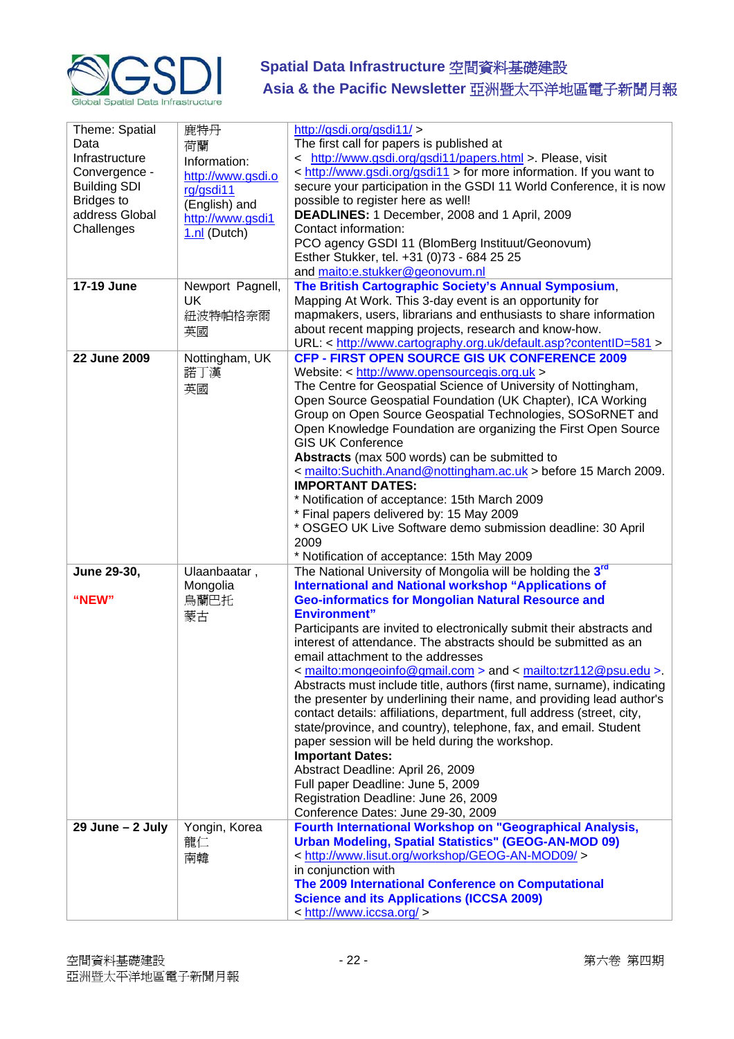

| Theme: Spatial<br>Data<br>Infrastructure<br>Convergence -<br><b>Building SDI</b> | 鹿特丹<br>荷蘭<br>Information:<br>http://www.gsdi.o<br>rg/gsdi11 | http://gsdi.org/gsdi11/ ><br>The first call for papers is published at<br>< http://www.gsdi.org/gsdi11/papers.html > Please, visit<br>< http://www.gsdi.org/gsdi11 > for more information. If you want to<br>secure your participation in the GSDI 11 World Conference, it is now                                                                                                                                                                                                                                                                                                                                                                                                                                                                                                                                                                                                                                                                                                                          |
|----------------------------------------------------------------------------------|-------------------------------------------------------------|------------------------------------------------------------------------------------------------------------------------------------------------------------------------------------------------------------------------------------------------------------------------------------------------------------------------------------------------------------------------------------------------------------------------------------------------------------------------------------------------------------------------------------------------------------------------------------------------------------------------------------------------------------------------------------------------------------------------------------------------------------------------------------------------------------------------------------------------------------------------------------------------------------------------------------------------------------------------------------------------------------|
| <b>Bridges to</b><br>address Global<br>Challenges                                | (English) and<br>http://www.gsdi1<br>1.nl (Dutch)           | possible to register here as well!<br>DEADLINES: 1 December, 2008 and 1 April, 2009<br>Contact information:<br>PCO agency GSDI 11 (BlomBerg Instituut/Geonovum)<br>Esther Stukker, tel. +31 (0)73 - 684 25 25                                                                                                                                                                                                                                                                                                                                                                                                                                                                                                                                                                                                                                                                                                                                                                                              |
| 17-19 June                                                                       | Newport Pagnell,<br>UK<br>紐波特帕格奈爾<br>英國                     | and maito:e.stukker@geonovum.nl<br>The British Cartographic Society's Annual Symposium,<br>Mapping At Work. This 3-day event is an opportunity for<br>mapmakers, users, librarians and enthusiasts to share information<br>about recent mapping projects, research and know-how.<br>URL: < http://www.cartography.org.uk/default.asp?contentID=581 >                                                                                                                                                                                                                                                                                                                                                                                                                                                                                                                                                                                                                                                       |
| 22 June 2009                                                                     | Nottingham, UK<br>諾丁漢<br>英國                                 | CFP - FIRST OPEN SOURCE GIS UK CONFERENCE 2009<br>Website: < http://www.opensourcegis.org.uk ><br>The Centre for Geospatial Science of University of Nottingham,<br>Open Source Geospatial Foundation (UK Chapter), ICA Working<br>Group on Open Source Geospatial Technologies, SOSoRNET and<br>Open Knowledge Foundation are organizing the First Open Source<br><b>GIS UK Conference</b><br>Abstracts (max 500 words) can be submitted to<br>< mailto:Suchith.Anand@nottingham.ac.uk > before 15 March 2009.<br><b>IMPORTANT DATES:</b><br>* Notification of acceptance: 15th March 2009<br>* Final papers delivered by: 15 May 2009<br>* OSGEO UK Live Software demo submission deadline: 30 April<br>2009<br>* Notification of acceptance: 15th May 2009                                                                                                                                                                                                                                              |
| June 29-30,<br>"NEW"                                                             | Ulaanbaatar,<br>Mongolia<br>烏蘭巴托<br>蒙古                      | The National University of Mongolia will be holding the 3rd<br><b>International and National workshop "Applications of</b><br><b>Geo-informatics for Mongolian Natural Resource and</b><br><b>Environment"</b><br>Participants are invited to electronically submit their abstracts and<br>interest of attendance. The abstracts should be submitted as an<br>email attachment to the addresses<br>< mailto: mongeoinfo@gmail.com > and < mailto: tzr112@psu.edu >.<br>Abstracts must include title, authors (first name, surname), indicating<br>the presenter by underlining their name, and providing lead author's<br>contact details: affiliations, department, full address (street, city,<br>state/province, and country), telephone, fax, and email. Student<br>paper session will be held during the workshop.<br><b>Important Dates:</b><br>Abstract Deadline: April 26, 2009<br>Full paper Deadline: June 5, 2009<br>Registration Deadline: June 26, 2009<br>Conference Dates: June 29-30, 2009 |
| 29 June - 2 July                                                                 | Yongin, Korea<br>龍仁<br>南韓                                   | Fourth International Workshop on "Geographical Analysis,<br><b>Urban Modeling, Spatial Statistics" (GEOG-AN-MOD 09)</b><br>< http://www.lisut.org/workshop/GEOG-AN-MOD09/><br>in conjunction with<br>The 2009 International Conference on Computational<br><b>Science and its Applications (ICCSA 2009)</b><br>< http://www.iccsa.org/ >                                                                                                                                                                                                                                                                                                                                                                                                                                                                                                                                                                                                                                                                   |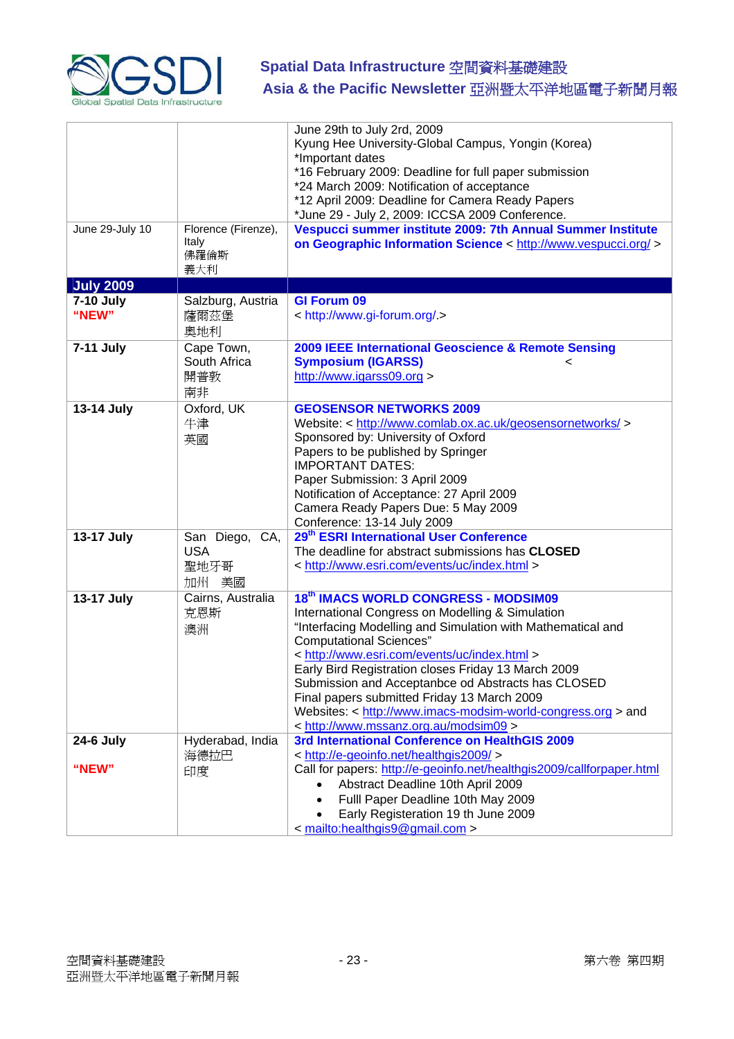

|                    |                                                  | June 29th to July 2rd, 2009<br>Kyung Hee University-Global Campus, Yongin (Korea)<br>*Important dates<br>*16 February 2009: Deadline for full paper submission                                                                                                                                                                                                                                                                                                                                                 |
|--------------------|--------------------------------------------------|----------------------------------------------------------------------------------------------------------------------------------------------------------------------------------------------------------------------------------------------------------------------------------------------------------------------------------------------------------------------------------------------------------------------------------------------------------------------------------------------------------------|
|                    |                                                  | *24 March 2009: Notification of acceptance<br>*12 April 2009: Deadline for Camera Ready Papers<br>*June 29 - July 2, 2009: ICCSA 2009 Conference.                                                                                                                                                                                                                                                                                                                                                              |
| June 29-July 10    | Florence (Firenze),<br>Italy<br>佛羅倫斯<br>義大利      | Vespucci summer institute 2009: 7th Annual Summer Institute<br>on Geographic Information Science < http://www.vespucci.org/ >                                                                                                                                                                                                                                                                                                                                                                                  |
| <b>July 2009</b>   |                                                  |                                                                                                                                                                                                                                                                                                                                                                                                                                                                                                                |
| 7-10 July<br>"NEW" | Salzburg, Austria<br>薩爾茲堡<br>奧地利                 | <b>GI Forum 09</b><br>< http://www.gi-forum.org/ >                                                                                                                                                                                                                                                                                                                                                                                                                                                             |
| 7-11 July          | Cape Town,<br>South Africa<br>開普敦<br>南非          | 2009 IEEE International Geoscience & Remote Sensing<br><b>Symposium (IGARSS)</b><br><<br>http://www.igarss09.org >                                                                                                                                                                                                                                                                                                                                                                                             |
| 13-14 July         | Oxford, UK<br>牛津<br>英國                           | <b>GEOSENSOR NETWORKS 2009</b><br>Website: < http://www.comlab.ox.ac.uk/geosensornetworks/ ><br>Sponsored by: University of Oxford<br>Papers to be published by Springer<br><b>IMPORTANT DATES:</b><br>Paper Submission: 3 April 2009<br>Notification of Acceptance: 27 April 2009<br>Camera Ready Papers Due: 5 May 2009<br>Conference: 13-14 July 2009                                                                                                                                                       |
| 13-17 July         | San Diego, CA,<br><b>USA</b><br>聖地牙哥<br>美國<br>加州 | 29 <sup>th</sup> ESRI International User Conference<br>The deadline for abstract submissions has CLOSED<br>< http://www.esri.com/events/uc/index.html >                                                                                                                                                                                                                                                                                                                                                        |
| 13-17 July         | Cairns, Australia<br>克恩斯<br>澳洲                   | 18th IMACS WORLD CONGRESS - MODSIM09<br>International Congress on Modelling & Simulation<br>"Interfacing Modelling and Simulation with Mathematical and<br><b>Computational Sciences"</b><br>< http://www.esri.com/events/uc/index.html ><br>Early Bird Registration closes Friday 13 March 2009<br>Submission and Acceptanbce od Abstracts has CLOSED<br>Final papers submitted Friday 13 March 2009<br>Websites: < http://www.imacs-modsim-world-congress.org > and<br>< http://www.mssanz.org.au/modsim09 > |
| <b>24-6 July</b>   | Hyderabad, India<br>海德拉巴                         | 3rd International Conference on HealthGIS 2009<br>< http://e-geoinfo.net/healthgis2009/>                                                                                                                                                                                                                                                                                                                                                                                                                       |
| "NEW"              | 印度                                               | Call for papers: http://e-geoinfo.net/healthgis2009/callforpaper.html<br>Abstract Deadline 10th April 2009<br>Fulll Paper Deadline 10th May 2009<br>$\bullet$<br>Early Registeration 19 th June 2009<br>< mailto:healthgis9@gmail.com >                                                                                                                                                                                                                                                                        |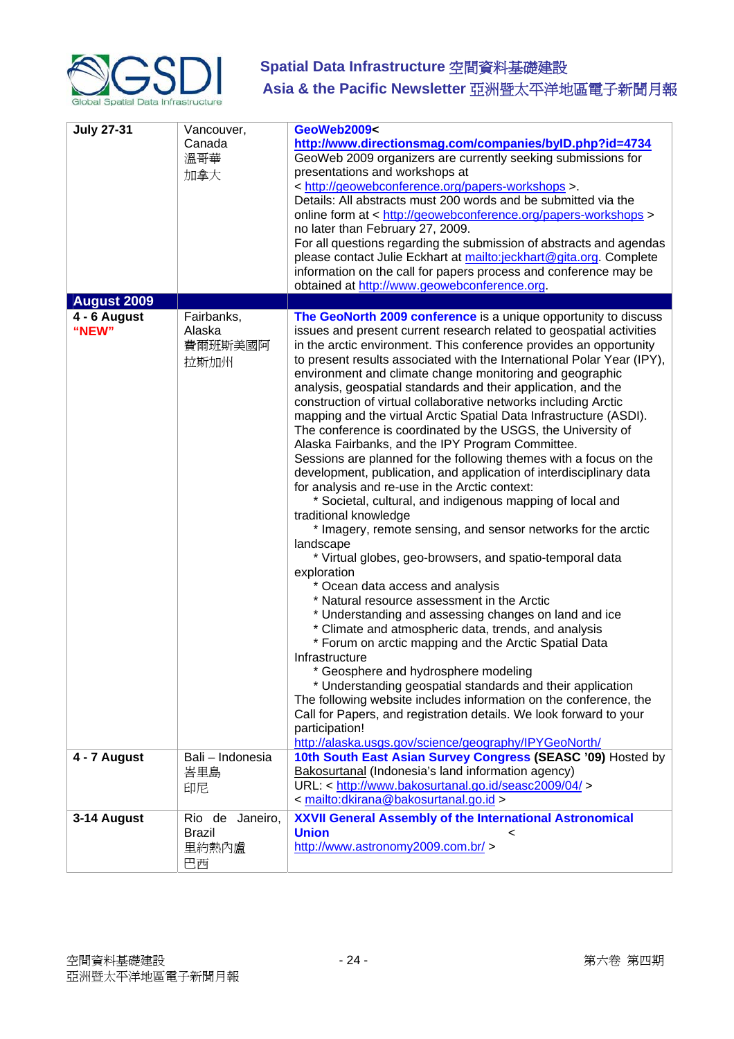

| <b>July 27-31</b>     | Vancouver,<br>Canada<br>溫哥華<br>加拿大              | GeoWeb2009<<br>http://www.directionsmag.com/companies/byID.php?id=4734<br>GeoWeb 2009 organizers are currently seeking submissions for<br>presentations and workshops at<br>< http://geowebconference.org/papers-workshops >.<br>Details: All abstracts must 200 words and be submitted via the<br>online form at < http://geowebconference.org/papers-workshops ><br>no later than February 27, 2009.<br>For all questions regarding the submission of abstracts and agendas<br>please contact Julie Eckhart at mailto:jeckhart@gita.org. Complete<br>information on the call for papers process and conference may be<br>obtained at http://www.geowebconference.org.                                                                                                                                                                                                                                                                                                                                                                                                                                                                                                                                                                                                                                                                                                                                                                                                                                                                                                                                                                                                                                                                   |
|-----------------------|-------------------------------------------------|-------------------------------------------------------------------------------------------------------------------------------------------------------------------------------------------------------------------------------------------------------------------------------------------------------------------------------------------------------------------------------------------------------------------------------------------------------------------------------------------------------------------------------------------------------------------------------------------------------------------------------------------------------------------------------------------------------------------------------------------------------------------------------------------------------------------------------------------------------------------------------------------------------------------------------------------------------------------------------------------------------------------------------------------------------------------------------------------------------------------------------------------------------------------------------------------------------------------------------------------------------------------------------------------------------------------------------------------------------------------------------------------------------------------------------------------------------------------------------------------------------------------------------------------------------------------------------------------------------------------------------------------------------------------------------------------------------------------------------------------|
| <b>August 2009</b>    |                                                 |                                                                                                                                                                                                                                                                                                                                                                                                                                                                                                                                                                                                                                                                                                                                                                                                                                                                                                                                                                                                                                                                                                                                                                                                                                                                                                                                                                                                                                                                                                                                                                                                                                                                                                                                           |
| 4 - 6 August<br>"NEW" | Fairbanks,<br>Alaska<br>費爾班斯美國阿<br>拉斯加州         | The GeoNorth 2009 conference is a unique opportunity to discuss<br>issues and present current research related to geospatial activities<br>in the arctic environment. This conference provides an opportunity<br>to present results associated with the International Polar Year (IPY),<br>environment and climate change monitoring and geographic<br>analysis, geospatial standards and their application, and the<br>construction of virtual collaborative networks including Arctic<br>mapping and the virtual Arctic Spatial Data Infrastructure (ASDI).<br>The conference is coordinated by the USGS, the University of<br>Alaska Fairbanks, and the IPY Program Committee.<br>Sessions are planned for the following themes with a focus on the<br>development, publication, and application of interdisciplinary data<br>for analysis and re-use in the Arctic context:<br>* Societal, cultural, and indigenous mapping of local and<br>traditional knowledge<br>* Imagery, remote sensing, and sensor networks for the arctic<br>landscape<br>* Virtual globes, geo-browsers, and spatio-temporal data<br>exploration<br>* Ocean data access and analysis<br>* Natural resource assessment in the Arctic<br>* Understanding and assessing changes on land and ice<br>* Climate and atmospheric data, trends, and analysis<br>* Forum on arctic mapping and the Arctic Spatial Data<br>Infrastructure<br>* Geosphere and hydrosphere modeling<br>* Understanding geospatial standards and their application<br>The following website includes information on the conference, the<br>Call for Papers, and registration details. We look forward to your<br>participation!<br>http://alaska.usgs.gov/science/geography/IPYGeoNorth/ |
| 4 - 7 August          | Bali - Indonesia<br>峇里島<br>印尼                   | 10th South East Asian Survey Congress (SEASC '09) Hosted by<br>Bakosurtanal (Indonesia's land information agency)<br>URL: < http://www.bakosurtanal.go.id/seasc2009/04/><br>< mailto:dkirana@bakosurtanal.go.id >                                                                                                                                                                                                                                                                                                                                                                                                                                                                                                                                                                                                                                                                                                                                                                                                                                                                                                                                                                                                                                                                                                                                                                                                                                                                                                                                                                                                                                                                                                                         |
| 3-14 August           | Rio de Janeiro,<br><b>Brazil</b><br>里約熱內盧<br>巴西 | <b>XXVII General Assembly of the International Astronomical</b><br><b>Union</b><br>http://www.astronomy2009.com.br/ >                                                                                                                                                                                                                                                                                                                                                                                                                                                                                                                                                                                                                                                                                                                                                                                                                                                                                                                                                                                                                                                                                                                                                                                                                                                                                                                                                                                                                                                                                                                                                                                                                     |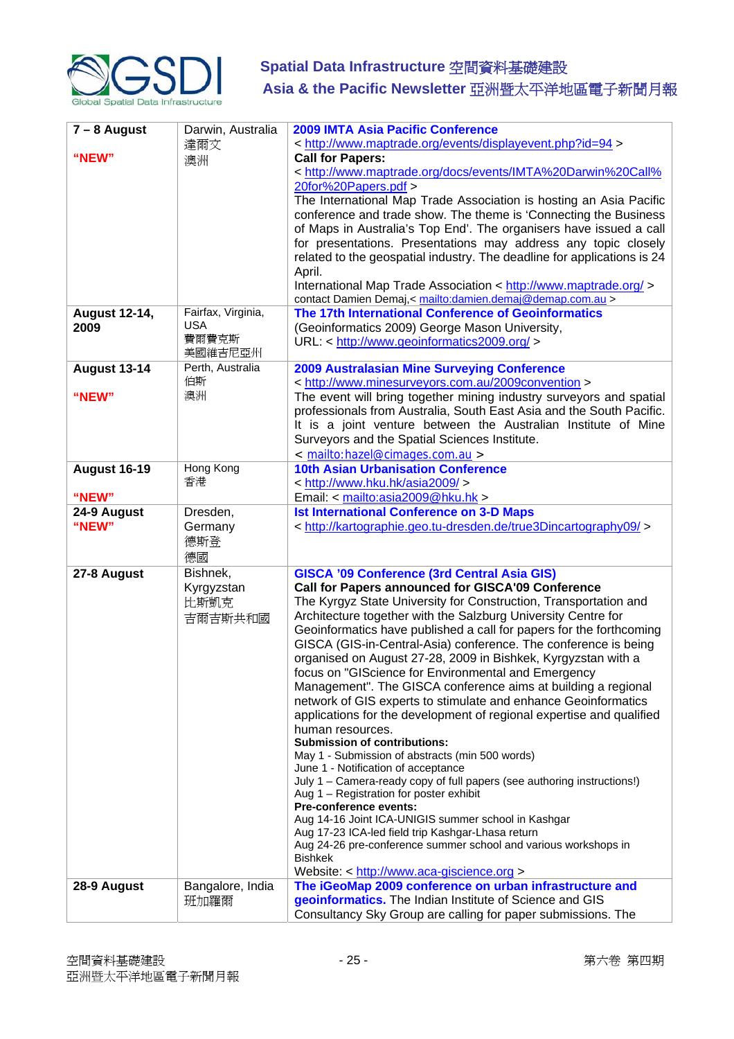

| $7 - 8$ August<br>"NEW"      | Darwin, Australia<br>達爾文<br>澳洲                       | 2009 IMTA Asia Pacific Conference<br>< http://www.maptrade.org/events/displayevent.php?id=94 ><br><b>Call for Papers:</b><br>< http://www.maptrade.org/docs/events/IMTA%20Darwin%20Call%<br>20for%20Papers.pdf ><br>The International Map Trade Association is hosting an Asia Pacific<br>conference and trade show. The theme is 'Connecting the Business<br>of Maps in Australia's Top End'. The organisers have issued a call<br>for presentations. Presentations may address any topic closely<br>related to the geospatial industry. The deadline for applications is 24<br>April.<br>International Map Trade Association < http://www.maptrade.org/><br>contact Damien Demaj,< mailto:damien.demaj@demap.com.au >                                                                                                                                                                                                                                                                                                                                                                                                                                                                                                                                                             |
|------------------------------|------------------------------------------------------|-------------------------------------------------------------------------------------------------------------------------------------------------------------------------------------------------------------------------------------------------------------------------------------------------------------------------------------------------------------------------------------------------------------------------------------------------------------------------------------------------------------------------------------------------------------------------------------------------------------------------------------------------------------------------------------------------------------------------------------------------------------------------------------------------------------------------------------------------------------------------------------------------------------------------------------------------------------------------------------------------------------------------------------------------------------------------------------------------------------------------------------------------------------------------------------------------------------------------------------------------------------------------------------|
| <b>August 12-14,</b><br>2009 | Fairfax, Virginia,<br><b>USA</b><br>費爾費克斯<br>美國維吉尼亞州 | The 17th International Conference of Geoinformatics<br>(Geoinformatics 2009) George Mason University,<br>URL: < http://www.geoinformatics2009.org/ >                                                                                                                                                                                                                                                                                                                                                                                                                                                                                                                                                                                                                                                                                                                                                                                                                                                                                                                                                                                                                                                                                                                                |
| <b>August 13-14</b><br>"NEW" | Perth, Australia<br>伯斯<br>澳洲                         | <b>2009 Australasian Mine Surveying Conference</b><br>< http://www.minesurveyors.com.au/2009convention ><br>The event will bring together mining industry surveyors and spatial<br>professionals from Australia, South East Asia and the South Pacific.<br>It is a joint venture between the Australian Institute of Mine<br>Surveyors and the Spatial Sciences Institute.<br>< mailto:hazel@cimages.com.au >                                                                                                                                                                                                                                                                                                                                                                                                                                                                                                                                                                                                                                                                                                                                                                                                                                                                       |
| <b>August 16-19</b><br>"NEW" | Hong Kong<br>香港                                      | <b>10th Asian Urbanisation Conference</b><br>< http://www.hku.hk/asia2009/ ><br>Email: < mailto:asia2009@hku.hk >                                                                                                                                                                                                                                                                                                                                                                                                                                                                                                                                                                                                                                                                                                                                                                                                                                                                                                                                                                                                                                                                                                                                                                   |
| 24-9 August<br>"NEW"         | Dresden,<br>Germany<br>德斯登<br>德國                     | <b>Ist International Conference on 3-D Maps</b><br>< http://kartographie.geo.tu-dresden.de/true3Dincartography09/ >                                                                                                                                                                                                                                                                                                                                                                                                                                                                                                                                                                                                                                                                                                                                                                                                                                                                                                                                                                                                                                                                                                                                                                 |
| 27-8 August                  | Bishnek,<br>Kyrgyzstan<br>比斯凱克<br>吉爾吉斯共和國            | <b>GISCA '09 Conference (3rd Central Asia GIS)</b><br>Call for Papers announced for GISCA'09 Conference<br>The Kyrgyz State University for Construction, Transportation and<br>Architecture together with the Salzburg University Centre for<br>Geoinformatics have published a call for papers for the forthcoming<br>GISCA (GIS-in-Central-Asia) conference. The conference is being<br>organised on August 27-28, 2009 in Bishkek, Kyrgyzstan with a<br>focus on "GIScience for Environmental and Emergency<br>Management". The GISCA conference aims at building a regional<br>network of GIS experts to stimulate and enhance Geoinformatics<br>applications for the development of regional expertise and qualified<br>human resources.<br><b>Submission of contributions:</b><br>May 1 - Submission of abstracts (min 500 words)<br>June 1 - Notification of acceptance<br>July 1 - Camera-ready copy of full papers (see authoring instructions!)<br>Aug 1 - Registration for poster exhibit<br><b>Pre-conference events:</b><br>Aug 14-16 Joint ICA-UNIGIS summer school in Kashgar<br>Aug 17-23 ICA-led field trip Kashgar-Lhasa return<br>Aug 24-26 pre-conference summer school and various workshops in<br><b>Bishkek</b><br>Website: < http://www.aca-giscience.org > |
| 28-9 August                  | Bangalore, India<br>班加羅爾                             | The iGeoMap 2009 conference on urban infrastructure and<br>geoinformatics. The Indian Institute of Science and GIS<br>Consultancy Sky Group are calling for paper submissions. The                                                                                                                                                                                                                                                                                                                                                                                                                                                                                                                                                                                                                                                                                                                                                                                                                                                                                                                                                                                                                                                                                                  |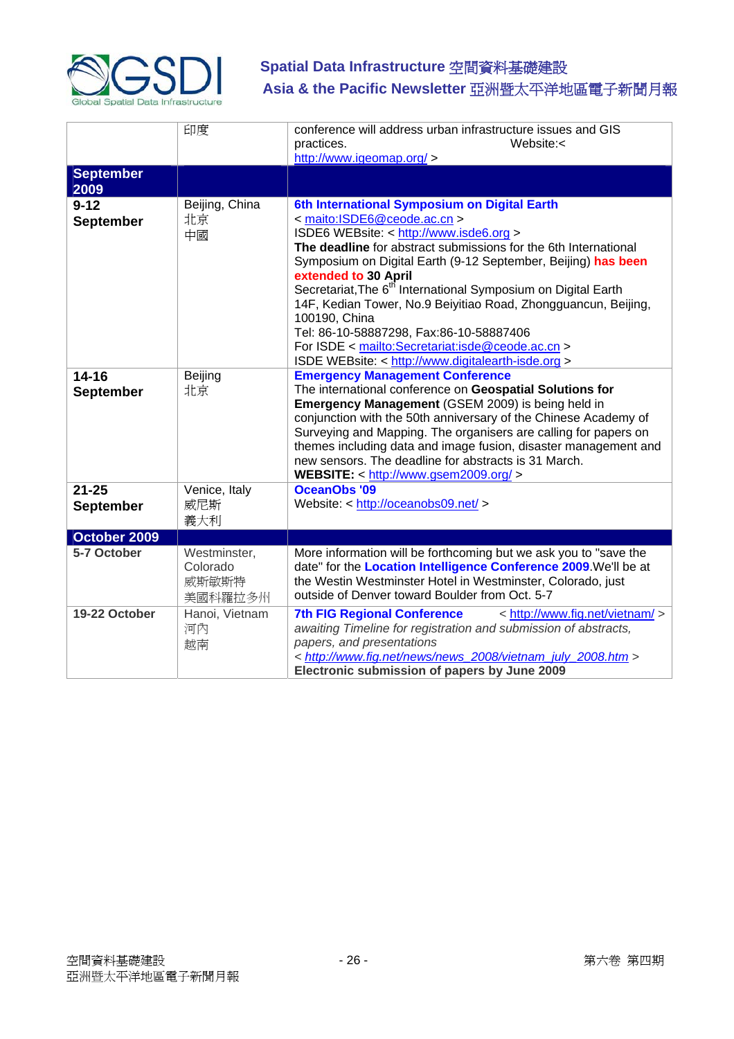

|                               | 印度                                           | conference will address urban infrastructure issues and GIS<br>practices.<br>Website: $\lt$<br>http://www.igeomap.org/ >                                                                                                                                                                                                                                                                                                                                                                                                                                                                                |
|-------------------------------|----------------------------------------------|---------------------------------------------------------------------------------------------------------------------------------------------------------------------------------------------------------------------------------------------------------------------------------------------------------------------------------------------------------------------------------------------------------------------------------------------------------------------------------------------------------------------------------------------------------------------------------------------------------|
| <b>September</b><br>2009      |                                              |                                                                                                                                                                                                                                                                                                                                                                                                                                                                                                                                                                                                         |
| $9 - 12$<br>September         | Beijing, China<br>北京<br>中國                   | 6th International Symposium on Digital Earth<br>< maito:ISDE6@ceode.ac.cn ><br>ISDE6 WEBsite: < http://www.isde6.org ><br>The deadline for abstract submissions for the 6th International<br>Symposium on Digital Earth (9-12 September, Beijing) has been<br>extended to 30 April<br>Secretariat, The 6 <sup>th</sup> International Symposium on Digital Earth<br>14F, Kedian Tower, No.9 Beiyitiao Road, Zhongguancun, Beijing,<br>100190, China<br>Tel: 86-10-58887298, Fax:86-10-58887406<br>For ISDE < mailto:Secretariat:isde@ceode.ac.cn ><br>ISDE WEBsite: < http://www.digitalearth-isde.org > |
| $14 - 16$<br><b>September</b> | Beijing<br>北京                                | <b>Emergency Management Conference</b><br>The international conference on Geospatial Solutions for<br>Emergency Management (GSEM 2009) is being held in<br>conjunction with the 50th anniversary of the Chinese Academy of<br>Surveying and Mapping. The organisers are calling for papers on<br>themes including data and image fusion, disaster management and<br>new sensors. The deadline for abstracts is 31 March.<br>WEBSITE: < http://www.gsem2009.org/ >                                                                                                                                       |
| $21 - 25$<br>September        | Venice, Italy<br>威尼斯<br>義大利                  | <b>OceanObs '09</b><br>Website: < http://oceanobs09.net/ >                                                                                                                                                                                                                                                                                                                                                                                                                                                                                                                                              |
| October 2009                  |                                              |                                                                                                                                                                                                                                                                                                                                                                                                                                                                                                                                                                                                         |
| 5-7 October                   | Westminster,<br>Colorado<br>威斯敏斯特<br>美國科羅拉多州 | More information will be forthcoming but we ask you to "save the<br>date" for the Location Intelligence Conference 2009. We'll be at<br>the Westin Westminster Hotel in Westminster, Colorado, just<br>outside of Denver toward Boulder from Oct. 5-7                                                                                                                                                                                                                                                                                                                                                   |
| 19-22 October                 | Hanoi, Vietnam<br>河內<br>越南                   | <b>7th FIG Regional Conference</b><br>< http://www.fig.net/vietnam/ ><br>awaiting Timeline for registration and submission of abstracts,<br>papers, and presentations<br>< http://www.fig.net/news/news 2008/vietnam july 2008.htm ><br>Electronic submission of papers by June 2009                                                                                                                                                                                                                                                                                                                    |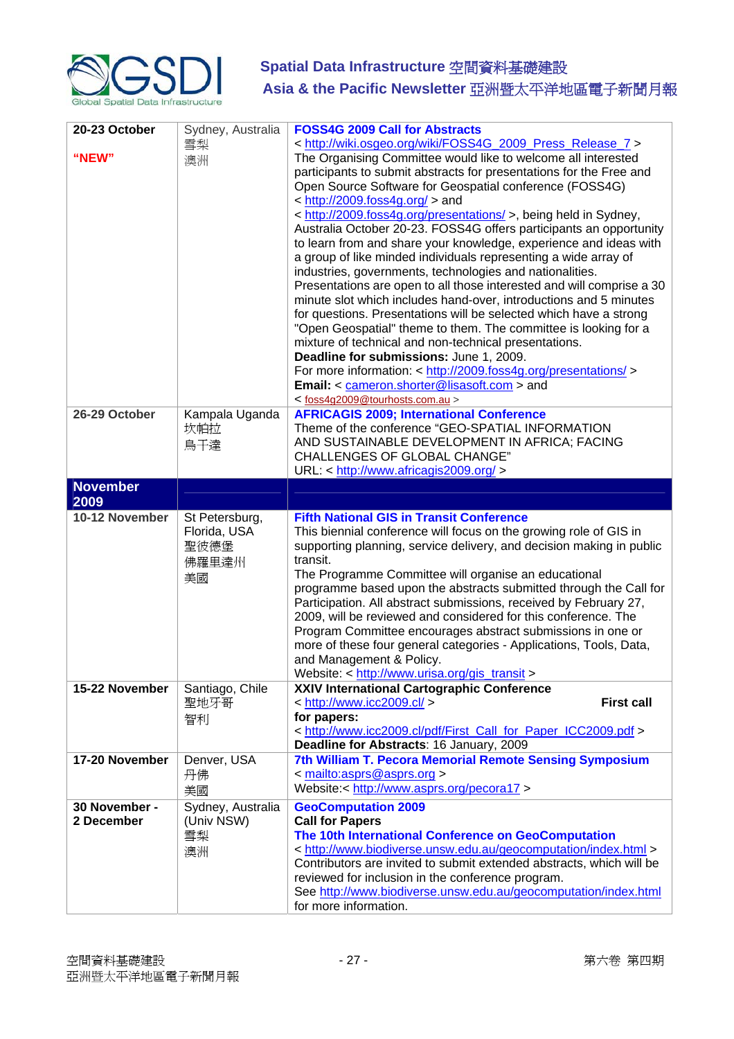

| 20-23 October<br>"NEW"      | Sydney, Australia<br>雪梨<br>澳洲                         | <b>FOSS4G 2009 Call for Abstracts</b><br>< http://wiki.osgeo.org/wiki/FOSS4G_2009_Press_Release_7 ><br>The Organising Committee would like to welcome all interested<br>participants to submit abstracts for presentations for the Free and<br>Open Source Software for Geospatial conference (FOSS4G)<br>$\langle$ http://2009.foss4g.org/ $>$ and<br>< http://2009.foss4g.org/presentations/ >, being held in Sydney,<br>Australia October 20-23. FOSS4G offers participants an opportunity<br>to learn from and share your knowledge, experience and ideas with<br>a group of like minded individuals representing a wide array of<br>industries, governments, technologies and nationalities.<br>Presentations are open to all those interested and will comprise a 30<br>minute slot which includes hand-over, introductions and 5 minutes<br>for questions. Presentations will be selected which have a strong<br>"Open Geospatial" theme to them. The committee is looking for a<br>mixture of technical and non-technical presentations.<br>Deadline for submissions: June 1, 2009.<br>For more information: < http://2009.foss4g.org/presentations/><br>Email: < cameron.shorter@lisasoft.com > and |
|-----------------------------|-------------------------------------------------------|--------------------------------------------------------------------------------------------------------------------------------------------------------------------------------------------------------------------------------------------------------------------------------------------------------------------------------------------------------------------------------------------------------------------------------------------------------------------------------------------------------------------------------------------------------------------------------------------------------------------------------------------------------------------------------------------------------------------------------------------------------------------------------------------------------------------------------------------------------------------------------------------------------------------------------------------------------------------------------------------------------------------------------------------------------------------------------------------------------------------------------------------------------------------------------------------------------------|
| 26-29 October               | Kampala Uganda<br>坎帕拉<br>烏干達                          | <foss4g2009@tourhosts.com.au><br/><b>AFRICAGIS 2009; International Conference</b><br/>Theme of the conference "GEO-SPATIAL INFORMATION<br/>AND SUSTAINABLE DEVELOPMENT IN AFRICA; FACING<br/><b>CHALLENGES OF GLOBAL CHANGE"</b><br/>URL: &lt; http://www.africagis2009.org/ &gt;</foss4g2009@tourhosts.com.au>                                                                                                                                                                                                                                                                                                                                                                                                                                                                                                                                                                                                                                                                                                                                                                                                                                                                                              |
| <b>November</b>             |                                                       |                                                                                                                                                                                                                                                                                                                                                                                                                                                                                                                                                                                                                                                                                                                                                                                                                                                                                                                                                                                                                                                                                                                                                                                                              |
| 2009<br>10-12 November      | St Petersburg,<br>Florida, USA<br>聖彼德堡<br>佛羅里達州<br>美國 | <b>Fifth National GIS in Transit Conference</b><br>This biennial conference will focus on the growing role of GIS in<br>supporting planning, service delivery, and decision making in public<br>transit.<br>The Programme Committee will organise an educational<br>programme based upon the abstracts submitted through the Call for<br>Participation. All abstract submissions, received by February 27,<br>2009, will be reviewed and considered for this conference. The<br>Program Committee encourages abstract submissions in one or<br>more of these four general categories - Applications, Tools, Data,<br>and Management & Policy.<br>Website: < http://www.urisa.org/gis_transit >                                                                                                                                                                                                                                                                                                                                                                                                                                                                                                               |
| 15-22 November              | Santiago, Chile<br>聖地牙哥<br>智利                         | XXIV International Cartographic Conference<br><b>First call</b><br>$\langle$ http://www.icc2009.cl/ $>$<br>for papers:<br>< http://www.icc2009.cl/pdf/First_Call_for_Paper_ICC2009.pdf ><br>Deadline for Abstracts: 16 January, 2009                                                                                                                                                                                                                                                                                                                                                                                                                                                                                                                                                                                                                                                                                                                                                                                                                                                                                                                                                                         |
| 17-20 November              | Denver, USA<br>丹佛<br>美國                               | 7th William T. Pecora Memorial Remote Sensing Symposium<br>< mailto:asprs@asprs.org ><br>Website:< http://www.asprs.org/pecora17 >                                                                                                                                                                                                                                                                                                                                                                                                                                                                                                                                                                                                                                                                                                                                                                                                                                                                                                                                                                                                                                                                           |
| 30 November -<br>2 December | Sydney, Australia<br>(Univ NSW)<br>雪梨<br>澳洲           | <b>GeoComputation 2009</b><br><b>Call for Papers</b><br>The 10th International Conference on GeoComputation<br>< http://www.biodiverse.unsw.edu.au/geocomputation/index.html ><br>Contributors are invited to submit extended abstracts, which will be<br>reviewed for inclusion in the conference program.<br>See http://www.biodiverse.unsw.edu.au/geocomputation/index.html<br>for more information.                                                                                                                                                                                                                                                                                                                                                                                                                                                                                                                                                                                                                                                                                                                                                                                                      |